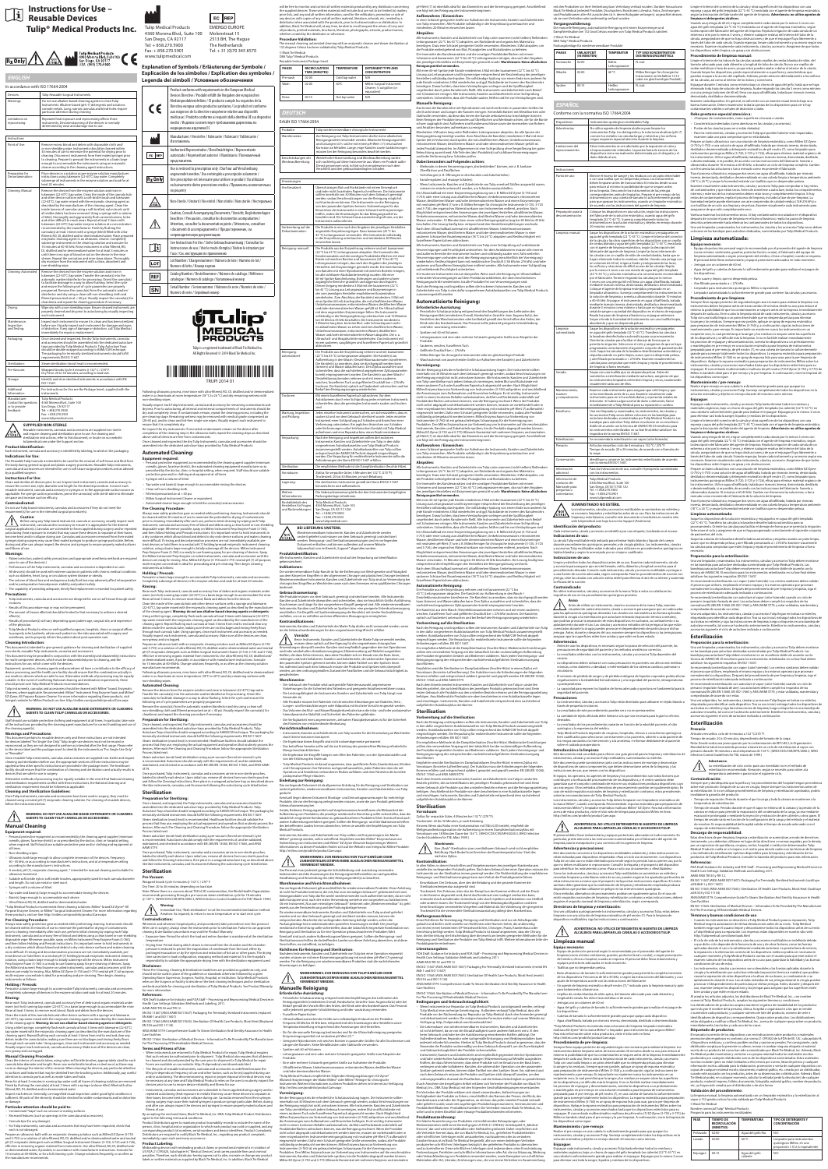Reusable instruments, cannulas and accessories are supplied non-sterile and require cleaning and sterilization prior to use. For cleaning and sterilization instructions, refer to this document, or locate on our website ulipmedical.com under the Support section

.<br>h instrument, cannula and accessory is identified by labeling, located on the packaging. **Indications For Use:**

The Reusable Tulip Cannula is intended to be used for the removal of soft tissue and fluid from the body during general surgical and plastic surgery procedures. Reusable Tulip instruments, cannulas and accessories are intended for use in soft tissue surgical procedures and as advised by a qualified surgeon

Clean and sterilize all devices prior to use. Inspect each instrument, cannula and accessory to ensure the correct size, style, diameter and length for the desired procedure. Connect each reusable instrument, cannula and accessory to syringes or to the appropriate suction source as<br>applicable. For syringe suction procedures, prime the cannula(s) with sterile saline to eliminate<br>air space and increase suctio

Do not use Tulip brand instruments, cannulas and accessories if they do not meet the  $\alpha$  for use in the intended surgical procedure(s).

• Patient selection, patient safety precautions and appropriate anesthesia methods are required prior to use of the device(s.) • Performance of the Tulip Instruments, cannulas and accessories is dependent on user

ended to give general guidance for cleaning and sterilization of supplied non-sterile, reusable Tulip instruments, cannulas and accessories. This document may be provided in conjunction with the assembly and disassembly instructions for multi-component devices, which must be disassembled prior to cleaning, and the instructions for use, which come with the devices.

Equipment, operators, cleaning agents and procedures all have a contribution to the efficacy of<br>device processing, and the health care facility should ensure that the combination actually in<br>use results in devices which ar should prevail over Tulip Medical Products recommendations.

Tulip instruments, cannulas and accessories should be cleaned with Miltex® brand, Enzymatic Cleaners, where applicable. Recommended: Miltex® Instrument Prep Enzyme Foam and Miltex® EZ-Zyme, All Purpose Enzyme Cleaner. For more information regarding these products, visit Integra's website for Miltex Products on-line: http://miltex.com/prodinfo/productCare.aspx

**Product Identification:**

Since reusable Tulip instruments, cannulas and accessories are supplied non-sterile and require cleaning and sterilization before use, the appropriate sections of these instructions may be<br>applied unless other specific instructions are provided in the package insert. The healthcare<br>facility should ensure that the com

Alternative methods of processing may be equally suitable. In the event that National cleaning<br>and sterilization requirements conflict with these instructions, the National cleaning and<br>sterilization requirement should be

#### **Instructions For Use:**

Personal protective equipment as recommended by the cleaning agent supplier (minimum<br>overalls, gloves, face/eye shield.) or as prescribed by the doctor, clinic or hospital setting,<br>when required. Staff should use suitable all times.

#### **Contraindicated:**

• Ultrasonic bath large enough to allow complete immersion of the devices. Frequency 40 - 45 kHz, or as according to manufacturer's instructions, and at a temperature setting according to the manufacturer`s instructions. • A neutral, pH (7), enzymatic cleaning agent, \* intended for manual cleaning and suitable for

#### **Caution**

Always wear safety protection gear as needed while performing cleaning. Instruments should be cleaned within 30 minutes of use to minimize the potential for drying of contaminants prior to cleaning. Immediately after each use, perform initial cleaning by wiping each Tulip<br>Instrument, cannula and accessory free of blood and debris using a clean towel or non-shedding<br>disposable wipe. Whenever possible and then follow Holding and Presoak instructions. It is important never to hold instruments in a dry container, which allows blood and debris to dry onto device surfaces and makes cleaning more difficult. If rinsing and decontamination processes are not immediately available, pretreat devices or hold them in a neutral pH (7) holding/presoak enzymatic instrument cleaning<br>solution, using a basin large enough to totally submerge all the devices. Miltex Instrument<br>Prep Enzyme Foam (3-760) is a ready t the Miltex Instrument Prep Enzyme on soiled instruments, cannulas and accessories until the devices are ready for rinsing. Also, Miltex EZ-Zyme (3-750 and 3-775) neutral pH (7) all-purpose, multi-enzyme concentrate is ideal for presoaking and pre-cleaning. Then begin cleaning .. <sub>----</sub>, ...- ------<br>ruments as follov

Before using any Tulip brand instrument, cannula or accessory, visually inspect each instrument, cannula and/or accessory to ensure it is appropriate for the desired surgical application(s.) Cannulas are vulnerable to forces applied during surgery and/or repeated autoclaving (heat exposure to metals) that may cause these devices to separate at their bases, become bent and/or collapse during use. Cannulas and accessories removed from their mated

syringes during surgery may cause their mated syringes to produce syringe particulate. Before, during and after use, always inspect the devices and syringes to ensure properly mated surfaces and fitness of use.

# **Warnings:**

Rinse each Tulip instrument, cannula and accessory free of debris and organic materials under warm (not hot) running tap water (22-43°C) in a basin large enough to accommodate the rinse. Rinse each Tuilp instrument, cannual and accessory free of debris and organic model.<br>
Rinse at least 3 times, to remove most blood, fluids and debris from the devices.<br>
Rinse at least 3 times, to remove most blood, fluids

Clean the inside of the cannula hub and other device surfaces with a sponge and lukewarm<br>(22-43°C), tap water mixed with the enzymatic cleaning agent as described by the manufacturer<br>of the cleaning agent. **Warning: do not** 

Using a 60ml syringe, completely flush each cannula at least 3 times with lukewarm (22-43°C)<br>tap water mixed with the enzymatic cleaning agent as described by the manufacturer of the<br>cleaning agent. Repeat flushing each ca debris inside the cannula tube, making sure there are no blockages and rinsing freely flows through each cannula tube. Using sponges, clean each instrument and accessory as needed. Visually inspect each instrument, cannula and accessory. Make sure all the devices are clean, on-greasy and unclogged.

• All device(s) should be used with extreme caution in patients with chronic medical conditions such as diabetes, heart, lung, or circulatory system disease or obesity.

• The volume of blood loss and endogenous body fluid loss may adversely affect intraoperative and/or postoperative hemodynamic stability and patient safety.

#### • The capability of providing adequate, timely fluid replacement is essential for patient safety.

**Precautions:** • Tulip instruments, cannulas and accessories are designed for use on soft tissue through small

incisions. • Results of this procedure may or may not be permanent.

• The amount of tissues affected should be limited to that necessary to achieve a desired effect(s.)

• Results of procedure(s) will vary depending upon patient age, surgical site, and experience of the physician.

attention to cannula ports as well as inside tubes and hubs. Rinse for at least 3 minutes in running tap water until all traces of cl

treat devices or hold them in a neutral pH (7) holding/presoak enzymatic instrument clear solution, using a basin large enough to totally submerge all the devices. Miltex Instrument Prep Enzyme Foam (3-760) is a ready to use foaming spray for pre-cleaning of devices. Spray the Miltex Instrument Prep Enzyme on soiled instruments, cannulas and accessories until the devices are ready for rinsing. Also, Miltex EZ-Zyme (3-750 and 3-775) neutral pH (7) all-purpose<br>multi-enzvme concentrate is ideal for presoaking and pre-cleaning. Then begin cleaning  $\frac{1}{2}$  ing and pre-cleaning. Then begi ruments as follow

• Tulip Medical Products relies on well-qualified surgeons, hospitals, clinics or surgical offices to properly select patients, advise each patient on the risks associated with surgery and anesthesia, and to properly inform the patient about post-operative care.

## **Cleaning Introduction:**

completely dry. Re-inspect the dry instruments. If encrusted contaminants remain on the device after completion of the cleaning step in the ultrasonic bath, repeat the cleaning steps as described above until all devices are free from contaminants.

Personal protective equipment as recommended by the cleaning agent supplier (minimum<br>overalls, gloves, face/eye shield.), the automated cleaning equipment manufacturer or as<br>prescribed by the doctor, clinic or hospital set protective gear and/or clothing and equipment at all times. ringes with a volume of 60ml. • Tap water and basin(s) large enough to accommodate rinsing the devices.

#### **WARNING: DO NOT USE ALKALINE-BASED DETERGENTS OR CLEANING AGENTS TO CLEAN TULIP CANNULAS OR ACCESSORIES.**

Staff should use suitable protective clothing and equipment at all times. In particular, take note of the instructions provided by the cleaning agent manufacturer for correct handling and use of the cleaning agent(s).

# **Warnings and Precautions:**

This document pertains to reusable devices only and these instructions are not intended for devices labeled "For Single-Use Only." Tulip single-use devices must not be reused or reprocessed, as they are not designed to perform as intended after the first usage. Please refe to the device label and the package insert to identify the instruments as "For Single-Use Only" or "Reusable."

## **Cleaning and Sterilization Guidelines:**

Prepare an ultrasonic bath with an enzymatic cleaning solution such as Miltex EZ-Zyme (3-750 and 3-755) or a solution of ultra-filtered, RO, DI, distilled and/or demineralized water and neutral pH (7) enzymatic detergent such as Miltex Surgical Instrument Cleaner (3-720, 3-725 and 3-726),<br>effective in removing organic material from instruments. Use ultra-filtered, RO, DI, distilled and/<br>or demineralized water, if

Once Tulip instruments, cannulas and accessories have been used in surgery, they must be cleaned using a neutral pH (7) enzymatic cleaning solution. For cleaning of reusable devices, follow the instructions below.

#### **WARNING: DO NOT USE ALKALINE-BASED DETERGENTS OR CLEANING AGENTS TO CLEAN TULIP CANNULAS OR ACCESSORIES.**

## **Manual Cleaning**

# **Equipment required:**

• Non-shedding wipes.

ultrasonic treatment. • Suitable soft bristle nylon, soft bristle brushes, appropriately sized for each cannula diameter

and length. Do not use metal or steel wool. • Syringes with a volume of 60ml.

ST79. Once purchased, Tulip instruments, cannulas and accessories arrive in non-sterile pouches, labeled to identify each device. Upon initial use, remove all devices from non-sterile pouches and follow the Cleaning Instructions, then place in a wrapped autoclave tray, as described above. rilize instruments, cannulas, and Accessories following the autoclaving cycle listed below:

• Tap water and basin(s) large enough to accommodate rinsing the devices. • Basin(s) large enough to accommodate each device.

• Ultra-filtered, RO, DI, distilled and/or demineralized water.

\*Tulip Medical Products recommends these cleaning solutions: Miltex\* brand EZ-Zyme\* All<br>Purpose Enzyme Cleaner, or Miltex\* Surgical instrument Cleaner. For more information regarding<br>these products, visit on-line: http://m

**Preparation for Sterilizing:**  Once cleaned, and inspected, the Tulip instruments, cannulas and accessories should be mbled into the dedicated autoclave trays provided by Tulip Medical Products. Tulip Autoclave Trays should be double wrapped according to AAMI/CSR technique. The packaging for oclave hays should be double wropped decording to communications and included instruments should fulfill the following requirements: EN ISO 11607. Steam sterilization (moist heat) is recommended. Healthcare facilities should validate the process that they use, employing the actual equipment and operators that routinely process the devices. After each Pre-Cleaning and Cleaning Procedure, follow the appropriate Sterilization cess listed next:

#### **Pre-Cleaning Procedure:**

Steam autoclave (moist heat) sterilization using a pre-vacuum (forced air removal) cycle<br>is recommended. Autoclaves should comply with the requirements of, and be validated,<br>maintained, and checked in accordance with EN 28 AAMI ST79.

Once purchased, Tulip instruments, cannulas and accessories arrive in non-sterile pouches, labeled to identify each device. Upon initial use, remove all devices from non-sterile pouches<br>and follow the Cleaning Instructions, then place in a wrapped autoclave tray, as described above.<br>Sterilize instruments, cannul

**Warning:**<br>Immediate Use,"flash sterilization" is not the recommended sterilization method.<br>Aeration: As required, to return to room temperature or to start next cycle. **Contraindication:** 

#### Whenever and wherever hospital policy and procedure(s) take prece After use in surgery, always clean the instruments prior to sterilization. Failure to use approved

• Drying time: Period during which steam is removed from the chamber and the chamber<br>pressure is reduced to permit the evaporation of condensate from the load, either by prolonged evacuation or by the injection and extraction of hot air or other gases. The drying time varies due to load configuration, wrapping method and material. It is the hospital's responsibility to validate the appropriate drying time with the sterilization equipment used.

#### **Holding / Presoak:**

Presoak in a basin large enough to accommodate Tulip instruments, cannulas and accessories. Completely submerge all devices in the enzyme solution and soak for at least 20 minutes. **Rinsing:** 

> .<br>IN ISO 17664: Sterilization of Medical Devices – Information To Be Provided By The Manufacturer For The Processing Of Resterilizable Medical Devices.

that such returns be authorized prior to shipment. Tulip Medical also requires that all devices<br>be cleaned and decontaminated by the user prior to shipment to Tulip Medical for repair.<br>Forms are available on our website: h • The lifecycle of reusable instruments, cannulas and accessories is undefined because the

lifecycle depends on frequency of use and other factors, such as force(s) applied during use and/or autoclaving. The decommissioning, repair or proper disposal of medical devices may be necessary at any time and Tulip Medical Products relies on the user to routinely inspect  $\widetilde{\mathsf{t}}$ 

Dokument enthalten und können außerdem auf unserer Website<br>tulipmedical.com im Bereich "Support" abgerufen werden. **Produktidentifikation:** Alle Instrumente, Kanülen und Zubehörteile sind auf der Verpackung zur Identifikation Umkehrosmosewasser, entionisiertes Wasser, destilliertes Wasser und/oder demineralis

#### By accepting the enclosed items, Black Tie Medical, Inc. DBA, Tulip Medical Product Distributors e to the following terms and condit

# **Manual Cleaning Procedure:**

Clean the interior of cannula tubes, using nylon soft bristle brushes, appropriately sized for each cannula tube diameter and length. Never use metal bristle brushes or steel wool, as these may score or damage the interior of the cannula. When cleaning the devices, pay particular attention to surfaces and features that may be shielded from the brushing action. Additionally, pay careful

will be free to monitor and control all written materials produced by any distributor concerning<br>the supplied devices. These written materials will include (but are not to be limited to) mailers,<br>price lists, and any and a any devices with copies of any and all written material, literature, artwork, etc. created by a distributor when associated with the products, prior to its dissemination or distribution. In addition, Black Tie Medical will, at any time, be able to recall (request the return of) any and all products, printed materials, brochures, literature, photographs, artwork, product names, whether created by the distributor or otherwise. **Procedure Validation:**

Inspect each device. Generally, un-magnified visual inspection under good light conditions is sufficient. All parts of the device(s) should be checked for visible contaminants and/or distortion or damage.

#### **Particular attention should be paid to:**

• Contaminant "traps" such as concave or mating surfaces.

- Recessed features (such as openings in the cannulas and accessories). • Cannula tips (for any damage).
- For Tulip instruments, cannulas and accessories that may have been impacted, check that each is not damaged.

Prepare an ultrasonic bath with an enzymatic cleaning solution such as Miltex EZ-Zyme (3-750 and 3-755) or a solution of ultra-filtered, RO, DI, distilled and/or demineralized water and neutral pH (7) enzymatic detergent such as Miltex Surgical Instrument Cleaner (3-720, 3-725 and 3-726), effective in removing organic material from instruments. Use ultra-filtered, RO, DI, distilled and/ or demineralized water, if possible, in accordance with manufacturer instructions. Sonicate for inutes at 40-45kHz, or for a full cleaning cycle. Change solutions frequently, or as often as the manufacturer recommends.

Once cleaned and inspected, the dry Tulip Instruments, cannulas and accessories should be assembled into the dedicated autoclave trays provided by Tulip Medical Products.

**Automated Cleaning:**

## **Equipment required:**

• Clean soft non-shedding cloth.

• Filtered pressurized air at < 40 psi. • Miltex Surgical Instrument Cleaner or equivalent. • Automated cleaner large enough to hold the cannula(s) and accessories.

and then follow Holding and Presoak instructions. It is important never to hold instruments a dry container, which allows blood and debris to dry onto device surfaces and makes clear

#### **Pre-Cleaning Procedure:**

Always wear safety protection gear as needed while performing cleaning, Instruments should<br>be cleaned within 30 minutes of use to minimize the potential for drying of contaminants<br>prior to cleaning. Immediately after each fficult. If rinsing and decontage

# dryness. Prior to autoclaving, all internal and external compartments of instruments should be<br>dry and completely clean. If contaminants remain, repeat the cleaning process, including the<br>pre-cleaning stage. Remaining wetn

# Die wiederverwendbare Tulip-Kanüle ist für die Entfernung von Weichgewebe und Flüssigkeit<br>aus dem Körper bei Eingriffen in der allgemeinen Chirurgie und plastischen Chirurgie bestimmt.<br>Wiederverwendbare Instrumente, Kanüle chirurgischen Eingriffen an Weichteilen sowie nach dem Ermessen eines qualifizierten Chirurgen

Instrumente, Kanülen und Zubehörteile der Marke Tulip dürfen nicht verwendet werden, wenn sie die Gebrauchsanforderungen für den vorgesehenen Eingriff nicht erfüllen.

## **Vorsicht** Bevor Instrumente, Kanülen und Zubehörteile der Marke Tulip verwendet werden, müssen diese optisch auf ihre Eignung für die vorgesehenen chirurgischen Anwendungen überprüft werden. Kanülen sind empfindlich gegenüber den bei Operationen und/oder wiederholten Autoklaviervorgängen (Hitzeeinwirkung auf Metalle) ausgeübten Kräften, die dazu führen können, dass diese Produkte sich im Einsatz von der Basis lösen, verbiegen und/oder kollabieren. Kanülen und Zubehörteile, die während der Operation von den passenden Spritzen getrennt werden, können dabei Partikel von den Spritzen lösen.<br>Vor, während und nach dem Gebrauch müssen die Produkte und Spritzen stets überprüft<br>werden, um den ordnungsgemäßen Zustand der Passfläch

## **Holding / Presoak:**

Presoak in a basin large enough to accommodate Tulip instruments, cannulas and accessories. Completely submerge all devices in the enzyme solution and soak for at least 20 minutes. **Rinsing:** 

Rinse each Tulip instrument, cannula and accessory free of debris and organic materials under<br>warm (not hot) running tap water (22-43°C) in a basin large enough to accommodate the rinse.<br>Rinse at least 3 times, to remove m

Clean the inside of the cannula hub and other device surfaces with a sponge and lukewarm<br>(22-43°C), tap water mixed with the enzymatic cleaning agent as described by the manufacturer<br>of the cleaning agent. **Warning: do not** Using a 60ml syringe, completely flush each cannula at least 3 times with lukewarm (22-43°C)<br>tap water mixed with the enzymatic cleaning agent as described by the manufacturer of the<br>cleaning agent. Repeat flushing each ca debris inside the cannula tube, making sure there are no blockages and rinsing freely flows through each cannula tube. Using sponges, clean each instrument and accessory as needed. Visually inspect each instrument, cannula and accessory. Make sure all the devices are clean, on-greasy and unclogged

> Geräte, Bediener, Reinigungsmittel und Vorgehensweisen beeinflussen die Wirksamkeit der Aufbereitung von Produkten; die jeweilige medizinische Einrichtung sollte sicherstellen, dass die tatsächlich eingesetzte Kombination zu gebrauchssicheren Produkten führt. Eventuell sind auch<br>andere Aufbereitungsverfahren geeignet. Sollten die Reinigungs- und Sterilisationsvorschriften<br>des betreffenden Landes hiervon a

> trumente, Kanülen und Zubehörteile von Tulip sollten mit Enzymreinigern der Marke Miltex® gereinigt werden, sofern zutreffend. Empfohlen werden Miltex® Enzymschaum zur Vorbereitung von Instrumenten und Miltex® EZ-Zyme Allzweck-Enzymreiniger. Weitere Informationen zu diesen Produkten finden sich auf der Website von Integra für Miltex-Produkte:

Das Personal muss jederzeit geeignete Schutzkleidung und -ausrüstung verwenden.<br>Insbesondere sind die Anweisungen des Reinigungsmittelherstellers zur sachgemäßen<br>Handhabung und Verwendung des (der) Reinigungsmittel(s) zu b

manufacturer recommends. Following ultrasonic process, rinse twice with ultra-filtered, RO, DI, distilled and/or demineralized water in a clean basin at room temperature (18°C to 26°C) and dry remaining wetness with

> Da wiederverwendbare Instrumente, Kanülen und Zubehörteile von Tulip unsteril geliefert<br>werden und vor dem Gebrauch gereinigt und sterilisiert werden müssen, können die<br>entsprechenden Abschnitte der vorliegenden Anleitung Packungsbeilage keine anderslautenden speziellen Anweisungen enthält. Die jeweilige medizinische Einrichtung sollte sicherstellen, dass die tatsächlich eingesetzte Kombination von Reinigung und Sterilisation zu für eine Operation gebrauchssicheren Produkten führt. Eventuell sind auch andere Aufbereitungsverfahren geeignet. Sollten die Reinigungs- und Sterilisationsvorschriften des betreffenden Landes von dieser Anleitung abweichen, sind diese

#### non-shedding wipes.

**Richtlinien für Reinigung und Sterilisation:**<br>Nachdem Instrumente, Kanülen und Zubehörteile von Tulip bei einer Operation eingesetzt<br>wurden, müssen sie mit einer Enzymreinigungslösung mit neutralem pH-Wert (7) gereinigt werden. Für die Reinigung von wiederverwendbaren Produkten sind die nachstehenden

**Automated Cleaning:** Remove the devices from the enzyme solution and rinse in lukewarm (22-43°C) tap water. Transfer the cannula(s) into the automatic washer/disinfector for processing. Orient the r̃ransfer the cannula(s) into the automatic washer/disinfector for processing. Orient the<br>:annula(s) to facilitate drainage in a way to allow flushing. Select the cycle and ensure the following set of cycle parameters are properly programed.

Remove the cannula(s) from the automatic washer/disinfector and dry using a clean soft non-shredding cloth and filtered pressurized air at < 40 psi. Visually inspect the cannula(s) for cleanliness and repeat the cleaning procedure if necessary.

#### **Preparation for Sterilizing:**

Ultrafiltriertes Wasser, Umke und/oder demineralisiertes Wasser.

Once cleaned, and inspected, the Tulip instruments, cannulas and accessories should be assembled into the dedicated autoclave trays provided by Tulip Medical Products. Tulip<br>Autoclave Trays should be double wrapped according to AAM/CSR technique. The packaging for<br>terminally sterilized instruments should ful Steam sterilization (moist heat) is recommended. Healthcare facilities should validate the<br>process that they use, employing the actual equipment and operators that routinely process the<br>devices. After each Pre-Cleaning and Process listed next:

Steam autoclave (moist heat) sterilization using a pre-vacuum (forced air removal) cycle is recommended. Autoclaves should comply with the requirements of, and be validated, maintained, and checked in accordance with EN 285/EN 13060, EN ISO 17665, and ANSI AAMI

# **Sterilization**

Mit einer 60-ml-Spritze jede Kanüle mindestens 3 Mal mit der lauwarmem (22 °C bis 43 °C) Lösung aus Leitungswasser und Enzymreiniger entsprechend der Beschreibung des jeweiligen<br>Herstellers vollständig durchspülen. Die vollständige Spülung von einem Ende zum anderen für<br>Jede Kanüle mindestens 3 Mal wiederholen it Schwämmen reinigen. Alle Instrumente, Kanülen und Zubehörteile einer Sichtprüfung nterziehen. Sicherstellen, dass alle Produkte sauber, fettfrei und frei von Verstopfungen sind.

# **Manuelle Reinigung:**<br>Das Innere der Kanülenrohre mit Nylonbürsten mit weichen Borsten in passenden Größen für

alle Durchmesser und Längen der Kanülen reinigen. Keinesfalls Bürsten mit Metallborsten oder<br>Stahlwolle verwenden, da diese das Innere der Kanüle zerkratzen bzw. beschädigen können.<br>Beim Reinigen der Produkte besonders auf wer zugänglich sind. Außerdem sind Kanülenanschlüsse sowie die Innenseiten von Rohren

# **Sterilization**

Ein Ultraschallbad mit einer Enzymreinigungslösung wie z. B. Miltex EZ-Zyme (3-750 und 3-755) oder einer Lösung aus ultrafiltriertem Wasser, Umkehrosmosewasser, entionisiertem er, destilliertem Wasser und/oder demineralisiertem Wasser und einem Enzy mit neutralem pH-Wert (7) wie z. B. Miltex Reiniger für chirurgische Instrumente (3-720, 3-725<br>und 3-726), der organisches Material wirksam von Instrumenten entfernt, ansetzen. Nach<br>Möglichkeit entsprechend den Anweisungen Wasser verwenden. 10 Minuten bzw. einen vollen Reinigungszyklus lang bei 40 kHz bis 45 kHz beschallen. Die Lösung häufig bzw. entsprechend den Herstellerempfehlungen wechseln. Nach dem Ultraschallbad zweimal mit ultrafiltriertem Wasser, Umkehrosmosewasser, entionisiertem Wasser, destilliertem Wasser und/oder demineralisiertem Wasser in einer uberen Schüssel bei Raumtemperatur (18 °C bis 26 °C) abspülen und Restfeuchtigkeit mit eien Papiertüchern abtrocknen

**Pre-Vacuum** Wrapped Goods Cycle 4 minutes @ 132° C / 270° F.

Dry Time: 20 to 30 minutes, depending on load size.

Note: Where there is a concern about TSE/vCJD contamination, the World Health Organization mends processing through a pre-vacuum steam sterilization cycle for 18 minutes @ 134° C. (WHO/CDS/CSR/APH/2000.3, WHO Infection Control Guidelines for TSE," March 1999.)

Alle Instrumente, Kanülen und Zubehörteile von Tulip einer Sichtprüfung auf verbleibende igungen und Feuchtigkeit unterziehen. Vor dem Autoklavieren müssen alle inneren nd äußeren Bereiche der Instrumente trocken und vollständig sauber sein. Falls weiterhin Verunreinigungen vorhanden sind, den Reinigungsvorgang (einschließlich der Vorreinigung)<br>wiederholen. Restfeuchtigkeit kann mit medizinischer Druckluft (138 kPa bis 276 kPa) und/oder<br>sauberen und fusselfreien Einwegtüchern If verbleibende Feuchtigkeit unterziehen.

cleaning & sterilization procedures may void the Product Warranty. • Exposure time: Period for which the load and entire chamber is maintained at the sterilization temperature.

Die trockenen Instrumente erneut überprüfen. Wenn nach der Reinigung im Ultraschallbad verkrustete Verunreinigungen auf dem Produkt zurückbleiben, die oben beschriebenen einigungsschritte wiederholen, bis alle Produkte frei von Verunreinigungen sind. Nach der Reinigung und Inspektion sollten die trockenen Instrumente, Kanülen und Zubehörteile von Tulip in den dafür vorgesehenen Autoklavkassetten von Tulip Medical Products ısammengestellt wer

# **Disclaimer:**

These Pre-Cleaning, Cleaning & Sterilization Guidelines are provided as guidelines only, and<br>should not be used in place of the guidelines or standards otherwise followed by a given<br>Operating Room Supervisor, Surgeon, Faci relies on the Surgeon or Facility to decide on the best cleaning techniques and/or sterilization methods available for cleaning and sterilization of Tulip Medical Products. See Product Warranty for more information

#### **References:**

FDA Draft Guidance for Industry and FDA Staff – Processing and Reprocessing Medical Devices in Health Care Settings: Validation Methods and Labeling, 2011.

AAMI ANSI TIR 30 and TIR 12. EN ISO 11607 (ANSI AAMI ISO11607): Packaging For Terminally Sterilized Instruments (replaced EN 868-1 and ISO 11607)

EN ISO 17665 (ANSI AAMI ISO17665): Sterilization Of Health Care Products, Moist Heat (Replaced EN 554 and ISO 11134)

ANSI/AAMI ST79: Comprehensive Guide To Steam Sterilization And Sterility Assurance In Health Care Facilities

#### **Terms and Fitness of Use:** • When instruments are returned to Tulip Medical Products for repair, Tulip Medical requires

**Reinigungsmittel verwenden.** Mit einer 60-ml-Spritze jede Kanüle mindestens 3 Mal mit der lauwarmem (22 °C bis 43 °C) Lösung aus Leitungswasser und Enzymreiniger entsprechend der Beschreibung des jeweiligen<br>Herstellers vollständig durchspülen. Die vollständige Spülung von einem Ende zum anderen für<br>jede Kanüle mindestens 3 Mal wiederholen unterziehen. Sicherstellen, dass alle Produkte sauber, fettfrei und frei von Verstopfungen sind. Ein Ultraschallbad mit einer Enzymreinigungslösung wie z. B. Miltex EZ-Zyme (3-750 und 3-755) oder einer Lösung aus ultrafiltriertem Wasser, Umkehrosmosewasser, entionisiertem Wasser, destilliertem Wasser und/oder demineralisiertem Wasser und einem Enzymreiniger<br>mit neutralem pH-Wert (7) wie z. B. Miltex Reiniger für chirurgische Instrumente (3-720, 3-725<br>und 3-726), der organisches Material wir

devices prior to use to ensure device reliability and fitness for use.

Wasser verwenden. 10 Minuten lang bei 40 kHz bis 45 kHz beschallen. Die Lösung häufig bzw. entsprechend den Empfehlungen des Herstellers der Reinigungslösung wechseln. Nach dem Ultraschallbad zweimal mit ultrafiltriertem Wasser, Umke

• Instruments, cannulas and accessories are vulnerable to forces applied during surgery and/or repeated autoclaving (heat exposure to metals) that may cause these devices to separate at their bases, become bent and/or collapse during use. Cannulas removed from their syringes during surgery may cause their mated syringes to produce syringe particulate. Before, during and after use, always inspect the devices and syringes to ensure properly mated surfaces and fitness of use.

Product Distributors agree to maintain product traceability records to include the name of the person, clinic, hospital and or organization to which each product was sold or supplied, and any<br>corresponding product lot numbers, serial numbers and device identifiers. Product Complaints:<br>Distributors are required to no immediately, upon each and every occurrence.

#### **Product Labeling:**

Misbranding devices with misleading product claims or promotional material is in violation of US FDA 21 CFR 820, Subchapter H, "Medical Devices," and carries possible fines and criminal penalties. Therefore, each distributor hereby agrees not to alter, recreate or change any product labels or written materials as supplied by Black Tie Medical, Inc. In addition, Black Tie Medical Nach dem Erwerb werden Instrumente, Kanülen und Zubehörteile von Tulip in unsterilen<br>Beuteln geliefert, die zur Identifikation des jeweiligen Produkts gekennzeichnet sind. Beim<br>ersten Gebrauch alle Produkte aus den unsteri befolgen. Anschließend die Produkte wie oben beschrieben in eine Autoklavkassette legen und einschlagen. Instrumente, Kanülen und Zubehörteile entsprechend dem nachstehend

Nach dem Erwerb werden Instrumente, Kanülen und Zubehörteile von Tulip in un Beuteln geliefert, die zur Identifikation des jeweiligen Produkts gekennzeichnet sind. Beim ersten Gebrauch alle Produkte aus den unsterilen Beuteln nehmen und die Reinigungsanleitung<br>befolgen. Anschließend die Produkte wie oben beschrieben in eine Autoklavkassette legen und einschlagen. Instrumente, Kanülen und Zubehörteile entsprechend dem nachstehend

The manual cleaning, automated cleaning with an enzymatic cleaner and steam sterilization at 132 degrees Celsius has been validated by Tulip Medical Products.

> • Trockenzeit: Der Zeitraum, über den der Dampf aus der Kammer entfernt und der Druck in der Kammer abgesenkt wird, damit das Kondensat vom Ladegut verdunsten kann, entweder durch anhaltenden Unterdruck oder durch Injektion und Extraktion von Heißluft oder anderen Gasen. Die Trockenzeit hängt von der Beladungskonfiguration und dem<br>beim Einschlagen verwendeten Vorgehen und Material ab. Die Validierung der geeigneten<br>Trockenzeit für die verwendete Sterilisationsausrüstung

Diese Richtlinien für Vorreinigung, Reinigung und Sterilisation sind nur als Anhaltspunkte gedacht und dürfen nicht anstelle von Richtlinien oder Normen treten, die anderweitig von einem (einer) bestimmten OP-Verantwortlichen, Chirurgen, Praxis, Krankenhaus oder Einrichtung befolgt werden. Tulip Medical Products ist darauf angewiesen, dass der Chirurg<br>bzw. die Einrichtung die Entscheidung über die jeweils am besten geeigneten Methoden für die<br>Reinigung und Sterilisation der Produk

For The Processing Of Resterilizable Medical Dev **Bedingungen und Gebrauchstauglichkeit:**

• Instrumente, Kanülen und Zubehörteile sind empfindlich gegenüber den bei Operationen und/oder wiederholten Autoklaviervorgängen (Hitzeeinwirkung auf Metalle) ausgeübten Kräften, die dazu führen können, dass diese Produkte sich im Einsatz von der Basis lösen, verbiegen und/oder kollabieren. Kanülen, die während der Operation von den passende Spritzen getrennt werden, können dabei Partikel von den Spritzen lösen. Vor, während und<br>nach dem Gebrauch müssen die Produkte und Spritzen stets überprüft werden, um den<br>ordnungsgemäßen Zustand der Passflächen und die Geb

Die Vertreiber der Produkte erklären sich damit einverstanden, Aufzeichnungen zur Verfolgbarkeit der Produkte zu führen, einschließlich des Namens der Person, der Klinik, des<br>Krankenhauses und/oder der Organisation, an die bzw. das jedes einzelne Produkt verkauft<br>oder geliefert wurde, sowie der zugehöri Produktidentifikationen. Produktbeschwerden: Die Vertreiber müssen Black Tie Medical, Inc., sofort und in jedem Einzelfall über etwaige Produktbeschwerden informierer

mit den Produkten vor ihrer Verbreitung bzw. Verteilung verfasst wurden. Darüber hinaus kann<br>Black Tie Medical jederzeit Produkte, Drucksachen, Broschüren, Literatur, Fotos, Zeichnungen<br>und Produktnamen aller Art zurückruf ob sie vom Vertreiber oder anderweitig verfasst wurden.

#### *ESPAÑOL*  $B<sub>0</sub>$  ISO 17664:2004

Punto de uso: Elimine el exceso de sangre y los residuos con un paño desechable con una toallita que no desprenda pelusa. Los i

#### gekennzeichnet. **Indikationen:**

bestimmt.

#### **Gebrauchsanweisung:**

Alle Produkte müssen vor dem Gebrauch gereinigt und sterilisiert werden. Alle Instrumente,<br>Kanülen und Zubehörteile überprüfen und sicherstellen, dass sie hinsichtlich Größe, Ausführung, Durchmesser und Länge für den vorgesehenen Eingriff geeignet sind. Alle wiederverwendbaren Instrumente, Kanülen und Zubehörteile an Spritzen bzw. eine geeignete Unterdruckversorgung<br>anschließen. Für Eingriffe mit Spritzenabsaugung die Kanüle(n) mit steriler Kochsalzlösung<br>vorfüllen, um sie zu entlüften und eine

**Aviso**<br>Antes de utilizar un instrumento, cánula o accesorio de la marca Tulip, examine<br>para las aplicaciones quirúrgicas deseadas. Las cánulas son vulnerables a las fuerzas aplicados<br>durante la cirugía o la esterilización durante la cirugía o la esterilización por autoclave reiterada (exposición térmica a metales<u>)</u><br>que podrían provocar la separación de estos dispositivos en sus bases, su combamiento o <sub>:</sub> aplastamiento durante el uso. Las cánulas y accesorios extraídos de las jeringas a las que están conectados durante la cirugía pueden provocar el desprendimiento de partículas por dichas jeringas. Antes, durante y después del uso, examine siempre los dispositivos y las jeringas para

#### **Kontraindikationen:**

• Antes de usar los dispositivos, es necesario seguir los pasos de selección del paciente, las precauciones de seguridad del paciente y los métodos anestésicos correctos. Los resultados obtenidos con los instrumentos, cánulas y accesorios Tulip dependen de

Este documento está concebido para ofrecer una guía general para la limpieza y esterilización de nstrumentos, cánulas y accesorios Tulip reutilizables, suministrados no estériles Este documento puede suministrarse junto con las instrucciones de montaje y desi de dispositivos de varios componentes, que deben desmontarse antes de la limpieza, y las instrucciones de uso, que vienen con los dispositivos. El equipo, los operarios, los agentes de limpieza y los procedimientos son todos factores que contribuyen a la eficacia del procesamiento de los dispositivos, y el centro sanitario debe garantizar que el conjunto combinado de estos en sus instalaciones produzca dispositivos cuyo uso sea seguro. Otros métodos alternativos de procesamiento podrían ser igualmente aptos. En caso de existir requisitos nacionales de limpieza y esterilización contrarios, estos prevalecerán sobre las recomendaciones de Tulip Medical Products. Los instrumentos, cánulas y accesorios Tulip deben limpiarse con limpiadores enzimáticos de la marca Miltex®, cuando corresponda. Recomendado: espuma enzimática para preparación de<br>instrumentos Miltex® y limpiador enzimático multiuso Miltex® EZ-Zyme. Para más información<br>acerca de estos productos, visite el sitio

gewährleisten. **Warnhinweise:**

• Der Gebrauch der Produkte setzt sachgemäße Patientenauswahl, angemessene Vorkehrungen für die Sicherheit des Patienten und geeignete Anästhesieverfahren voraus. • Die Leistungsfähigkeit der Instrumente, Kanülen und Zubehörteile von Tulip hängt vom Anwender ab.

• Alle Produkte müssen bei Patienten mit chronischen Erkrankungen wie Diabetes, Herz-, Lungen- und Kreislaufstörungen oder Adipositas mit höchster Vorsicht eingesetzt werden.

• Das Volumen des Blut- und Körperflüssigkeitsverlustes kann die intra- und/oder postoperative hämodynamische Stabilität und Sicherheit des Patienten gefährden. • Die Verfügbarkeit eines angemessenen, zeitnahen Flüssigkeitsersatzes ist für die Sicherheit des Patienten von entscheidender Bedeutung.

El personal debe llevar indumentaria y equipos protectores adecuados en todo mo particular, preste atención a las instrucciones suministradas por el fabricante del agente de

**Vorsichtsmaßnahmen:** • Instrumente, Kanülen und Zubehörteile von Tulip wurden für die Verwendung an Weichteilen

durch kleine Inzisionen konzipiert. • Die Ergebnisse dieses Eingriffs sind nicht notwendigerweise permanent.

• Das betroffene Gewebe sollte auf die zur Erzielung der gewünschten Wirkung erforderliche Menge beschränkt bleiben.

• Die Ergebnisse der Eingriffe hängen vom Alter des Patienten, von der Operationsstelle und von der Erfahrung des Arztes ab. • Tulip Medical Products ist darauf angewiesen, dass qualifizierte Ärzte, Krankenhäuser, Kliniken

und Chirurgiepraxen ihre Patienten sachgemäß auswählen, jeden Patienten über die mit Operation und Anästhesie verbundenen Risiken aufklären und dem Patienten die korrekte

postoperative Pflege erläutern. **Einleitung zur Reinigung:**

sung bei

• Equipo de protección personal según lo recomendado por el proveedor del agente de limpieza (como mínimo vestimenta, guantes, protector facial u ocular), o según prescripción<br>del médico, clínica u hospital, cuando se requiera. El personal debe llevar indumentaria y<br>equipos protectores adecuados en todo m

Das vorliegende Dokument ist als allgemeine Anleitung für die Reinigung und Sterilisation von unsteril gelieferten, wiederverwendbaren Instrumenten, Kanülen und Zubehörteilen von Tulip

gedacht.

Eventuell liegen diesem Dokument Montage- und Demontageanweisungen für mehrteilige Produkte, die vor der Reinigung zerlegt werden müssen, sowie die zum Produkt gehörende

> longitud de cánula. No utilice lana metálica ni de acero.  $\frac{1}{2}$  con un volumen de 60 ml.

• Cubetas de tamaño lo suficientemente grandes para que quepa cada dispositivo. • Agua ultrafiltrada, tratada por ósmosis inversa, desionizada, destilada o desmineralizada. \*Tulip Medical Products recomienda estas soluciones de limpieza: limpiador enzimático<br>multiuso EZ-Zyme\* de la marca Miltex\* o limpiador para instrumentos quirúrgicos Miltex\*.<br>Para más información sobre estos productos, vis

Medical Products.

Siempre lleve equipo protector de seguridad según sea necesario para realizar la limpieza. Los<br>instrumentos deben limpiarse antes de transcurridos 30 minutos desde su uso para reducir al<br>mínimo la posibilidad de que los co Tulip con una toalla limpia o un paño desechable que no desprenda pelusa para eliminar la sangre y los residuos. Siempre que sea posible, aplique un spray de espuma enzimática para preparación de instrumentos Miltex (3-760) y, a continuación, siga las instrucciones de mantenimiento y pre-remojo. Es importante no mantener nunca los instrumentos en un recipiente seco, lo cual permitirá que la sangre y los residuos se sequen sobre las superficies

http://miltex.com/prodinfo/productCare.aspx

**WARNHINWEIS: ZUR REINIGUNG VON TULIP KANÜLEN ODER ZUBEHÖRTEILEN DÜRFEN KEINE ALKALISCHEN REINIGUNGSMITTEL** 

Das vorliegende Dokument gilt ausschließlich für wiederverwendbare Produkte. Diese Anleitung<br>ist nicht für Produkte bestimmt, die mit "Nur zum einmaligen Gebrauch" gekennzeichnet sind. Einwegprodukte von Tulip dürfen weder wiederverwendet noch aufbereitet werden, da sie nicht dafür konzipiert sind, nach der ersten Verwendung weiterhin wie vorgesehen zu funktionieren.<br>Ob ein Instrument "Nur zum einmaligen Gebrauch" bestimmt oder "Wiederverwendbar" ist, geht<br>jeweils aus der Kennzeichnung und der

**Warnhinweise und Vorsichtsmaßnahmen:**

WARNHINWEIS: ZUR KEH<br>ZUBEHÖRTEILEN DÜRFE<br>VERWENDET WERDEN.

los dispositivos como sigue **Mantenimiento / pre-remojo:** 

Limpie el interior del conector de la cánula y otras superficies de los dispositivos con una<br>esponja y agua del grifo templada (22 °C-43 °C) mezclada con el agente de limpieza enzimático,<br>según la descripción del fabricant **limpieza ni detergentes alcalinos.**

Usando una jeringa de 60 ml, irrigue completamente cada cánula por lo menos 3 veces con agua del grifo templada (22 °C-43 °C) mezclada con el agente de limpieza enzimático, según la descripción del fabricante del agente de limpieza. Repita la irrigación de cada cánula de un extremo a otro por lo menos 3 veces, y elimine cualquier residuo del interior del tubo de la cánula, asegurándose de que no haya obstrucciones y de que el enjuague fluya libremente a<br>través del tubo de cada cánula. Usando esponjas, limpie cada instrumento y accesorio según sea<br>necesario. Examine visualmente cada i

Vorschriften, wo zutreffend, zu befolgen.

Enjuague durante 3 minutos como mínimo bajo un chorro de agua del grifo, hasta que se haya<br>eliminado toda traza de solución de limpieza. Acabe irrigando las cánulas 3 veces como mínimo<br>con una jeringa (volumen de 60 ml) ll desionizada, destilada o desmineralizada.

Examine cada dispositivo. En general, es suficiente con un examen visual directo bajo una<br>buena iluminación. Deben examinarse todas las piezas de los dispositivos para ver si hay<br>contaminantes visibles o señales de distors

-<br>npas» de contaminantes, como superficies cóncavas o unidas • Características indentadas (como aberturas en las cánulas y accesorios). • Puntas de las cánulas (para ver si están dañadas).

**WARNHINWEIS: ZUR REINIGUNG VON TULIP KANÜLEN ODER ZUBEHÖRTEILEN DÜRFEN KEINE ALKALISCHEN REINIGUNGSMITTEL** 

#### Finish by flushing the cannula(s) at least 3 times with a syringe (volume 60ml) filled with ultraered, RO, DI, distilled and/or demineralized water.

**VERWENDET WERDEN.**

**Manuelle Reinigung Erforderliche Ausrüstung:**

• Persönliche Schutzausrüstung entsprechend den Empfehlungen des Lieferanten des Reinigungsmittels (mindestens Overall, Handschuhe, Gesichts- bzw. Augenschutz) oder bei Bedarf gemäß den Vorschriften des Arztes, der Klinik oder des Krankenhauses. Das Personal sollte jederzeit geeignete Schutzkleidung und/oder -ausrüstung verwenden.

• Fusselfreie Papiertücher.

• Ultraschallbad ausreichender Größe zum vollständigen Eintauchen der Produkte. Frequenz 40 kHz bis 45 kHz bzw. entsprechend den Anweisungen des Herstellers sowie Temperatureinstellung entsprechend den Anweisungen des Herstellers. • Ein für die manuelle Reinigung bestimmtes und für die Ultraschallreinigung geeignetes

Enzymreinigungsmittel mit neutralem pH-Wert (7).\*

nweisungen zu befolger

 $\sqrt{1}$ 

• Geeignete Nylonbürsten mit weichen Borsten in passenden Größen für alle Durchmesser und Längen der Kanülen. Keine Metallbürsten oder Stahlwolle verwenden.

**Equipo necesario:** ∙ Equipo de protección personal según lo recomendado por el proveedor del agente de limpieza<br>(como mínimo: vestimenta, guantes, protector facial u ocular), el fabricante del equipo de<br>limpieza automatizada o según prescri

• Spritzen mit 60 ml Volumen.

• Leitungswasser und eine oder mehrere Schüsseln geeigneter Größe zum Abspülen der

Produkte.

• Eine oder mehrere Schüsseln geeigneter Größe zur Aufnahme der Produkte.

\*Tulip Medical Products empfiehlt die folgenden Reinigungslösungen: EZ-Zyme® Allzweck-Enzymreiniger der Marke Miltex® oder Miltex® Reiniger für chirurgische

Instrumente. Weitere Informationen zu diesen Produkten stehen im Internet zur Verfügung: http://miltex.com/prodinfo/productCare.aspx

#### **Vorreinigung:**

Siempre lleve equipo protector de seguridad según sea necesario para realizar la limpieza. Los<br>instrumentos deben limpiarse antes de transcurridos 30 minutos desde su uso para reducir al<br>mínimo la posibilidad de que los co después de cada uso, lleve a cabo la limpieza inicial de cada instrumento, cánula y accesorio Tulip con una toalla limpia o un paño desechable que no desprenda pelusa para eliminar la sangre y los residuos. Siempre que sea posible, aplique un spray de espuma enzimática<br>para preparación de instrumentos Miltex (3-760) y, a continuación, siga las instrucciones de<br>mantenimiento y pre-remojo. Es important los procesos de enjuaque y descontaminación, someta los dispositivos a un pretratamiento o manténgalos en pre-remojo en una solución enzimática para limpieza de instrumentos<br>preparada para el pre-remojo, de pH neutro (7), en una cubeta de tamaño lo suficientemente<br>grande para sumergir totalmente todos los disp dispositivos. Aplique la espuma enzimática para preparación de instrumentos Miltex sobre los instrumentos, cánulas y accesorios manchados hasta que los dispositivos estén listos para su enjuague. El concentrado multienzimático multiuso de pH neutro (7) EZ-Zyme (3-750 y 3-775) de Miltex es también ideal para el pre-remojo y la pre-limpieza. A continuación, inicie la limpieza de los dispositivos como sigue:

Bei der Reinigung stets die erforderliche Schutzausrüstung tragen. Die Instrumente sollten innerhalb von 30 Minuten nach dem Gebrauch gereinigt werden, sodass Verschmutzungen vor der Reinigung möglichst nicht antrocknen können. Alle Instrumente, Kanülen und Zubehörteile von Tulip unmittelbar nach jedem Gebrauch vorreinigen, indem Blut und Rückstände mit einem sauberen Tuch oder fusselfreien Papiertuch abgewischt werden. Nach Möglichkeit Miltex Enzymschaum zur Vorbereitung von Instrumenten (3-760) aufsprühen und anschließend die Anweisungen zum Aufbewahren und Einweichen befolgen. Es ist wichtig, Instrumente nicht in einem trockenen Behälter aufzubewahren, da Blut und Rückstände andernfalls auf<br>Produktoberflächen antrocknen können, was die Reinigung erschwert. Wenn die Produkte<br>nicht sofort abgespült und dekontaminiert werden einer enzymbasierten Instrumentenreinigungslösung mit neutralem pH-Wert (7) aufbewahrt/ eingeweicht werden. Dafür eine Schüssel geeigneter Größe verwenden, sodass alle Produkte vollständig untergetaucht werden können. Miltex Enzymschaum zur Vorbereitung von Instrumenten (3-760) ist ein gebrauchsfertiges Schaumspray für die Vorreinigung von Produkten. Den Miltex Enzymschaum zur Vorbereitung von Instrumenten auf die verschmutzten Instrumente, Kanülen und Zubehörteile sprühen, bis die Produkte abgespült werden kö Miltex EZ-Zyme (3-750 und 3-775) Allzweck-Konzentrat mit mehreren Enzymen und neutralem

**Enjuague:**  ento, cánula y accesorio Tulip hasta eliminar todos los residuos materiales orgánicos, bajo un chorro de agua del grifo templada (no caliente) (22 °C-43 °C) en una cubeta lo suficientemente grande para realizar el enjuague. Enjuague por lo menos 3 veces para eliminar casi toda la sangre, líquidos y residuos de los dispositivo

pH-Wert (7) ist ebenfalls ideal für das Einweichen und die Vorreinigung geeignet. Anschließend wie folgt mit der Reinigung der Instrumente beginnen: **Aufbewahren / Einweichen:** 

In einer Schüssel geeigneter Größe zur Aufnahme der Instrumente, Kanülen und Zubehörteile von Tulip einweichen. Alle Produkte vollständig in der Enzymlösung untertauchen und mindestens 20 Minuten einweichen lassen. **Abspülen:** 

> .<br>Je los dispositivos de la solución enzimática y enjuáguelos en agua del grifo templada (22 °C-43 °C). Transfiera las cánulas a la lavadora-desinfectadora automática para su<br>procesamiento. Oriente las cánulas para facilitar el drenaje de forma que se permita la irrigación.<br>Seleccione el ciclo y aseqúrese de q de parámetros del ciclo.

Alle Instrumente, Kanülen und Zubehörteile von Tulip unter warmem (nicht heißem) fließendem Leitungswasser (22 °C bis 43 °C) abspülen, um Rückstände und organisches Material zu beseitigen. Dazu eine Schüssel geeigneter Größe verwenden. Mindestens 3 Mal abspülen, um die Produkte weitestgehend von Blut, Flüssigkeiten und Rückständen zu befreien. Die Innenseite des Kanülenansatzes und die sonstigen Produktoberflächen mit einem Schwamm und lauwarmem (22 °C bis 43 °C) Leitungswasser reinigen, das nach den Angaben des jeweiligen Herstellers mit Enzymreiniger gemischt wurde. **Warnhinweis: Keine alkalischen Reinigungsmittel verwenden.**

> **Preparación para la esterilización:**<br>Una vez limpiados y examinados los instrumentos cánulas y accesorios Tulin deben montarse Una vez limpiados y examinados, los instrumentos, cánulas y accesorios Tulip deben montarse<br>en las bandejas para autoclave dedicadas suministradas por Tulip Medical Products. Las bandejas para autoclave Tulip deben envolverse en un envoltorio doble de acuerdo con la técnica de AAMI/CSR. El envoltorio para los instrumentos esterilizados en su fase final deben

> Se recomienda la esterilización con vapor (calor húmedo). Los centros sanitarios deben validar el proceso que utilicen, empleando el mismo equipo y los mismos operarios que procesan ormalmente los dispositivos. Después del procedimiento de pre-limpieza y limpieza, siga el

> Se recomienda la esterilización con autoclave al vapor (calor húmedo) usando un ciclo de prevacío (expulsión forzada de aire). Las autoclaves deben cumplir los requisitos de las mativas EN 285/EN 13060, EN ISO 17665 y ANSI AAMI ST79, y estar validadas, mantenidas y

Una vez adquiridos, los instrumentos, cánulas y accesorios Tulip llegan en bolsas no estériles, etiquetadas para identificar cada dispositivo. Tras su uso inicial, extraiga todos los dispositivos de<br>sus bolsas no estériles y siga las instrucciones de limpieza; luego colóquelos en una bandeja de<br>autoclave envuelta, ta

Una vez limpiados y examinados, los instrumentos, cánulas y accesorios Tulip deben montarse<br>en las bandejas para autoclave dedicadas suministradas por Tulip Medical Products. Las<br>bandejas para autoclave Tulip deben envolve técnica de AAMI/CSR. El envoltorio para los instrumentos esterilizados en su fase final deben

Se recomienda la esterilización con autoclave al vapor (calor húmedo) usando un ciclo de prevacío (expulsión forzada de aire). Las autoclaves deben cumplir los requisitos de las rmativas EN 285/EN 13060, EN ISO 17665 y ANSI AAMI ST79, y estar validadas, mantenidas y

Una vez adquiridos, los instrumentos, cánulas y accesorios Tulip llegan en bolsas no estériles, etiquetadas para identificar cada dispositivo. Tras su uso inicial, extraiga todos los dispositivos de<br>sus bolsas no estériles y siga las instrucciones de limpieza; luego colóquelos en una bandeja de<br>autoclave envuelta, ta

**Advertencia:**<br>La «esterilización de ciclo corto» para uso inmediato no es el método de<br>esterilización recomendado. Aireación: según se necesite, para volver a la<br>temperatura ambiente o para iniciar el siquiente ciclo.

und Ansätzen besonders aufmerksam zu reinigen. Mindestens 3 Minuten lang unter fließendem Leitungswasser abspülen, bis alle Spuren der Reinigungslösung beseitigt wurden. Zum Abschluss die Kanüle(n) mindestens 3 Mal mit einer<br>Spritze (60 ml Volumen) durchspülen, die mit ultrafiltriertem Wasser, Umkehrosmosewasser,<br>entionisiertem Wasser, destilliertem Wasse Jedes Produkt überprüfen. Im Allgemeinen ist eine Sichtprüfung ohne Vergrößerung bei guter Beleuchtung ausreichend. Alle Teile des (der) Produkte(s) auf sichtbare Verunreinigungen und/oder Verformung bzw. Schäden prüfen.

> empre que y dondequiera que la política y los procedimientos del hospital tengan precedencia sobre este protocolo. Después de su uso en cirugía, limpie siempre los instrumentos antes de su esterilización. Si no se utilizan procedimientos de limpieza y esterilización aprobados, podría

#### **Dabei besonders auf Folgendes achten:**

• Merkmale, in denen Verunreinigungen "steckenbleiben" können, wie z. B. konkave<br>Oberflächen und Passflächen.

• Tiempo de secado: Período durante el que el vapor se elimina de la cámara y la presión de la cámara se reduce para permitir la evaporación del condensado de la carga, ya sea mediante evacuación prolongada o mediante la inyección y extracción de aire caliente u otros gases. El<br>tiempo de secado varía en función de la configuración de la carga y del método y el material<br>de envolver. Es responsabilidad del

• Vertiefungen (z. B. Öffnungen in den Kanülen und Zubehörteilen). • Kanülenspitzen (auf etwaige Schäden).

• Wenn Instrumente, Kanülen und Zubehörteile von Tulip eventuell Stößen ausgesetzt waren, müssen sie einzeln untersucht werden, um Schäden auszuschließen.

> • El ciclo de vida de los instrumentos, cánulas y accesorios reutilizables es indefinido debido a que dicho ciclo depende de la frecuencia de uso y de otros factores, como las fuerzas aplicadas durante el uso o la esterilización mediante autoclave. La puesta fuera de servicio,<br>la reparación o la eliminación correcta de los dispositivos médicos podría ser necesaria en<br>cualquier momento y Tulip Medical Pr

> • Los instrumentos, cánulas y accesorios son vulnerables a las fuerzas aplicadas durante la cirugía y la esterilización por autoclave reiterada (exposición térmica a metales) que podrían causar la separación de estos dispositivos a la altura de sus bases, su combamiento o su aplastamiento durante el uso. Las cánulas extraídas de sus jeringas durante la cirugía pueden<br>provocar el desprendimiento de partículas por dichas jeringas. Antes, durante y después del<br>uso, examine siempre los dispositivo

El marcado incorrecto de los dispositivos con reivindicaciones sobre productos o materiales promocionales engañosos es contrario a la norma 21 CFR 820 de la FDA de EE. UU., subcapítulo H,<br>«Dispositivos médicos», y conlleva posibles multas y sanciones penales. Por consiguiente, cada<br>distribuidor acepta por la pres escrito de un producto tal como han sido suministrados por Black Tie Medical, Inc. Además, Black Tie Medical podrá monitorizar y controlar a su propia voluntad todos los materiales escritos producidos por cualquier distribuidor acerca de los dispositivos suministrados. Estos materiales escritos incluirán (pero no están limitados a ello) envíos por correo, listas de precios y cualquier<br>información escrita, utilizada para la elaboración, promoción o venta de cualquier dispositivo con<br>copias de cualquier ma uando esté asociado con los productos, antes de su diseminación o distribución. Además, Black

alth Care Settings: Validation Methods and Labeling, 201 $^{\circ}$ 

# **Automatisierte Reinigung:**

**Erforderliche Ausrüstung:** • Persönliche Schutzausrüstung entsprechend den Empfehlungen des Lieferanten des Reinigungsmittels (mindestens Overall, Handschuhe, Gesichts- bzw. Augenschutz), des Herstellers des Waschautomaten oder bei Bedarf gemäß den Vorschriften des Arztes, der Klinik oder des Krankenhauses. Das Personal sollte jederzeit geeignete Schutzkleidung

> Nombre comercial Tulip® Medical Products Prospecto para los ins

und/oder -ausrüstung verwenden. • Spritzen mit 60 ml Volumen.

• Leitungswasser und eine oder mehrere Schüsseln geeigneter Größe zum Abspülen der Produkte.

• Sauberes, weiches, fusselfreies Tuch. • Gefilterte Druckluft bei < 276 kPa.

• Miltex Reiniger für chirurgische Instrumente oder ein gleichwertiges Produkt. • Waschautomat von ausreichender Größe zur Aufnahme der Kanüle(n) und Zubehörteile. **Vorreinigung:** Bei der Reinigung stets die erforderliche Schutzausrüstung tragen. Die Instrumente sollten innerhalb von 30 Minuten nach dem Gebrauch gereinigt werden, sodass Verschmutzungen vor der Reinigung möglichst nicht antrocknen können. Alle Instrumente, Kanülen und Zubehörteile

| $\mathbf i$<br><b>Rx</b> Only                                       | <b>Instructions for Use -</b><br><b>Reusable Devices</b><br>Tulip <sup>®</sup> Medical Products Inc.<br>Tulip Medical Products<br>4360 Morena Blvd., Suite 100<br>San Diego, CA 92117<br>USA (858) 270-5900                                                                                                                                                                                                                                                                                                                                                                                                                                                                                                                                                                                                                                                                                                                                                                                                                                                                                                                                                                                                                                                          | San Diego, CA 92117<br>Tel: + 858.270.5900<br>Fax: + 858.270.5901                                                                                                                                                                                                                                                                                                         | <b>Tulip Medical Products</b><br>4360 Morena Blvd., Suite 100<br>www.tulipmedical.com | EC<br>REP<br><b>EMERGO EUROPE</b><br>Molenstraat 15<br>2513 BH, The Hague<br>The Netherlands<br>Tel: + 31 (0)70 345 8570<br>Explanation of Symbols / Erläuterung der Symbole /                                                                                                                                                                                                                                                                                                                                                                                                                      |
|---------------------------------------------------------------------|----------------------------------------------------------------------------------------------------------------------------------------------------------------------------------------------------------------------------------------------------------------------------------------------------------------------------------------------------------------------------------------------------------------------------------------------------------------------------------------------------------------------------------------------------------------------------------------------------------------------------------------------------------------------------------------------------------------------------------------------------------------------------------------------------------------------------------------------------------------------------------------------------------------------------------------------------------------------------------------------------------------------------------------------------------------------------------------------------------------------------------------------------------------------------------------------------------------------------------------------------------------------|---------------------------------------------------------------------------------------------------------------------------------------------------------------------------------------------------------------------------------------------------------------------------------------------------------------------------------------------------------------------------|---------------------------------------------------------------------------------------|-----------------------------------------------------------------------------------------------------------------------------------------------------------------------------------------------------------------------------------------------------------------------------------------------------------------------------------------------------------------------------------------------------------------------------------------------------------------------------------------------------------------------------------------------------------------------------------------------------|
| <b>ENGLISH</b>                                                      |                                                                                                                                                                                                                                                                                                                                                                                                                                                                                                                                                                                                                                                                                                                                                                                                                                                                                                                                                                                                                                                                                                                                                                                                                                                                      |                                                                                                                                                                                                                                                                                                                                                                           |                                                                                       | Explicación de los símbolos / Explication des symbol                                                                                                                                                                                                                                                                                                                                                                                                                                                                                                                                                |
| In accordance with ISO 17664:2004                                   |                                                                                                                                                                                                                                                                                                                                                                                                                                                                                                                                                                                                                                                                                                                                                                                                                                                                                                                                                                                                                                                                                                                                                                                                                                                                      |                                                                                                                                                                                                                                                                                                                                                                           |                                                                                       | Legenda dei simboli / Условные обозначения                                                                                                                                                                                                                                                                                                                                                                                                                                                                                                                                                          |
| Devices:                                                            | Tulip Reusable Surgical Instruments                                                                                                                                                                                                                                                                                                                                                                                                                                                                                                                                                                                                                                                                                                                                                                                                                                                                                                                                                                                                                                                                                                                                                                                                                                  |                                                                                                                                                                                                                                                                                                                                                                           |                                                                                       | Product conforms with requirements in the European Medical                                                                                                                                                                                                                                                                                                                                                                                                                                                                                                                                          |
| Warnings:<br>Limitations on                                         | Do not use alkaline-based cleaning agents to clean Tulip<br>Instruments. Alkaline-based (pH>7) detergents and solutions<br>corrode metals. Long, narrow cannulas and blind holes require<br>particular attention during cleaning<br>Repeated heat exposure and reprocessing affects these                                                                                                                                                                                                                                                                                                                                                                                                                                                                                                                                                                                                                                                                                                                                                                                                                                                                                                                                                                            | Devices Directive / Produkt erfüllt die Vorgaben der europäischen<br>Medizinprodukterichtlinie / El producto cumple los requisitos de la<br>CE<br>Directiva europea sobre productos sanitarios / Le produit est conforme<br>aux exigences de la directive européenne relative aux dispositifs<br>médicaux / Prodotto conforme ai requisiti della direttiva UE sui disposi |                                                                                       |                                                                                                                                                                                                                                                                                                                                                                                                                                                                                                                                                                                                     |
| reprocessing:                                                       | instruments. Decommissioning of the devices is normally<br>determined by wear and damage due to use.                                                                                                                                                                                                                                                                                                                                                                                                                                                                                                                                                                                                                                                                                                                                                                                                                                                                                                                                                                                                                                                                                                                                                                 |                                                                                                                                                                                                                                                                                                                                                                           | медицинским изделиям ЕС                                                               | medici / Изделие соответствует требованиям директивы по                                                                                                                                                                                                                                                                                                                                                                                                                                                                                                                                             |
| Instructions                                                        |                                                                                                                                                                                                                                                                                                                                                                                                                                                                                                                                                                                                                                                                                                                                                                                                                                                                                                                                                                                                                                                                                                                                                                                                                                                                      |                                                                                                                                                                                                                                                                                                                                                                           |                                                                                       | Manufacturer / Hersteller / Fabricante / Fabricant / Fabbricante /                                                                                                                                                                                                                                                                                                                                                                                                                                                                                                                                  |
| Point of Use:                                                       | Remove excess blood and debris with disposable cloth and/                                                                                                                                                                                                                                                                                                                                                                                                                                                                                                                                                                                                                                                                                                                                                                                                                                                                                                                                                                                                                                                                                                                                                                                                            |                                                                                                                                                                                                                                                                                                                                                                           | Изготовитель                                                                          |                                                                                                                                                                                                                                                                                                                                                                                                                                                                                                                                                                                                     |
|                                                                     | or non-shedding wipe. Instruments should be cleaned within<br>30 minutes of use to minimize the potential for drying prior to<br>cleaning. Disconnect instruments from their mated syringes prior<br>to cleaning. Prepare to presoak the instruments in a basin large<br>enough to accommodate the instruments using an enzymatic                                                                                                                                                                                                                                                                                                                                                                                                                                                                                                                                                                                                                                                                                                                                                                                                                                                                                                                                    | EC REP                                                                                                                                                                                                                                                                                                                                                                    | представитель                                                                         | Authorized Representative / Bevollmächtigter / Representante<br>autorizado / Représentant autorisé / Mandatario / Полномочный                                                                                                                                                                                                                                                                                                                                                                                                                                                                       |
| Preparation for<br>Decontamination:<br>Cleaning: Manual             | cleaner according to the cleaning agent instructions.<br>Place devices in a solution as per enzyme solution manufacturer<br>instructions using lukewarm (22-43°C) tap water. Completely<br>submerge all instruments in the enzyme solution and soak for at<br>least 20 minutes.<br>Remove the devices from the enzyme solution and rinse in                                                                                                                                                                                                                                                                                                                                                                                                                                                                                                                                                                                                                                                                                                                                                                                                                                                                                                                          | $Rx$ Only                                                                                                                                                                                                                                                                                                                                                                 | по рецепту                                                                            | Use is restriced to prescription only / Darf nur auf Verschreibung<br>angewendet werden / Uso restringido a prescripción solamente /<br>Une prescription est nécessaire pour utiliser ce produit / Da utilizzare<br>esclusivamente dietro prescrizione medica / Применять исключитель                                                                                                                                                                                                                                                                                                               |
|                                                                     | lukewarm (22-43°C) tap water. Clean the inside of the cannula hub<br>and other device surfaces with a soft-bristle brush and lukewarm<br>(22-43°C), tap water mixed with the enzymatic cleaning agent as<br>described by the manufacturer of the cleaning agent. Clean the<br>inside lumens of cannulas using a soft-bristled, nylon brush until<br>all visible debris has been removed. Using a syringe with a volume<br>of 60ml, thoroughly and aggressively flush cannula lumens, holes<br>and other difficult to reach areas. Repeat at least 3 times with<br>lukewarm (22-43°C) tap water-enzyme solution at a concentration<br>recommended by the manufacturer. Finish by flushing the<br>cannula(s) at least 3 times with a syringe (60ml) filled with ultra-<br>filtered, RO, DI, distilled and/or demineralized water. Place prepared<br>enzymatic cleaning agent in an ultrasonic cleaner. Completely<br>submerge instruments in the cleaning solution and sonicate for<br>10 minutes at 40-45 kHz. Rinse instrument in ultra-filtered, RO,<br>DI, distilled and/or demineralized water for at least 3 minutes or<br>until there is no sign of blood or soil on the device in the rinse<br>stream. Repeat the sonication and rinse steps above. Thoroughly | NON <sup></sup>                                                                                                                                                                                                                                                                                                                                                           |                                                                                       | Non-Sterile / Unsteril / No estéril / Non stérile / Non sterile / Нестерил                                                                                                                                                                                                                                                                                                                                                                                                                                                                                                                          |
|                                                                     |                                                                                                                                                                                                                                                                                                                                                                                                                                                                                                                                                                                                                                                                                                                                                                                                                                                                                                                                                                                                                                                                                                                                                                                                                                                                      |                                                                                                                                                                                                                                                                                                                                                                           | сопроводительную документацию                                                         | Caution, Consult Accompanying Documents / Vorsicht, Begleitunterlag<br>beachten / Precaución, consultar los documentos acompañantes /<br>Attention, consulter la documentation jointe / Attenzione, consultare<br>i documenti di accompagnamento / Предостережение, см.                                                                                                                                                                                                                                                                                                                             |
|                                                                     |                                                                                                                                                                                                                                                                                                                                                                                                                                                                                                                                                                                                                                                                                                                                                                                                                                                                                                                                                                                                                                                                                                                                                                                                                                                                      | Ħ                                                                                                                                                                                                                                                                                                                                                                         | l'uso / См. инструкцию по применению                                                  | See Instructions For Use / Siehe Gebrauchsanweisung / Consultar las<br>Instrucciones de uso / Voir le mode d'emploi / Vedere le istruzioni per                                                                                                                                                                                                                                                                                                                                                                                                                                                      |
|                                                                     | dry moisture from the instrument with a clean, absorbent and<br>non-shedding wipe.                                                                                                                                                                                                                                                                                                                                                                                                                                                                                                                                                                                                                                                                                                                                                                                                                                                                                                                                                                                                                                                                                                                                                                                   | LOT                                                                                                                                                                                                                                                                                                                                                                       | Numero di lotto / Номер партии                                                        | Lot Number / Chargennummer / Número de lote / Numéro de lot /                                                                                                                                                                                                                                                                                                                                                                                                                                                                                                                                       |
| Cleaning: Automated                                                 | Remove the devices from the enzyme solution and rinse in<br>lukewarm (22-43°C) tap water. Transfer the cannula(s) into the<br>automatic washer/disinfector for processing. Orient the cannula(s)                                                                                                                                                                                                                                                                                                                                                                                                                                                                                                                                                                                                                                                                                                                                                                                                                                                                                                                                                                                                                                                                     | <b>REF</b>                                                                                                                                                                                                                                                                                                                                                                |                                                                                       | Catalog Number / Bestellnummer / Número de catálogo / Référence<br>catalogue / Numero di catalogo / Каталожный номер                                                                                                                                                                                                                                                                                                                                                                                                                                                                                |
|                                                                     | to facilitate drainage in a way to allow flushing. Select the cycle<br>and ensure the following set of cycle parameters are properly<br>programed. Remove the cannula(s) from the automatic washer/<br>disinfector and dry using a clean soft non-shredding cloth and<br>filtered pressurized air at < 40 psi. Visually inspect the cannula(s) for<br>cleanliness and repeat the cleaning procedure if necessary.                                                                                                                                                                                                                                                                                                                                                                                                                                                                                                                                                                                                                                                                                                                                                                                                                                                    | SN                                                                                                                                                                                                                                                                                                                                                                        | Numero di serie / Серийный номер                                                      | Serial Number / Seriennummer / Número de serie / Numéro de série /                                                                                                                                                                                                                                                                                                                                                                                                                                                                                                                                  |
| Drying:                                                             | Wipe dry with a non-shedding wipe. Ensure cleaned instruments are<br>properly cleaned and dry prior to autoclaving by visually inspecting<br>each instrument.                                                                                                                                                                                                                                                                                                                                                                                                                                                                                                                                                                                                                                                                                                                                                                                                                                                                                                                                                                                                                                                                                                        |                                                                                                                                                                                                                                                                                                                                                                           |                                                                                       |                                                                                                                                                                                                                                                                                                                                                                                                                                                                                                                                                                                                     |
| Maintenance,<br>Inspection<br>and Testing:                          | Inspect each instrument to ensure it is clean and has been sterilized<br>before use. Visually inspect each instrument for damage and signs<br>of distortion. If any sign of damage or distortion, call Tulip Medical<br>immediately for repair or replacement.                                                                                                                                                                                                                                                                                                                                                                                                                                                                                                                                                                                                                                                                                                                                                                                                                                                                                                                                                                                                       |                                                                                                                                                                                                                                                                                                                                                                           |                                                                                       | <b><u>f</u>iTulip</b><br>TMEDICAL<br>TPRODUCTS                                                                                                                                                                                                                                                                                                                                                                                                                                                                                                                                                      |
| Packaging:                                                          | Once cleaned and inspected, the dry Tulip Instruments, cannulas<br>and accessories should be assembled into the dedicated autoclave<br>trays provided by Tulip Medical Products. Tulip Autoclave Trays<br>should be double wrapped according to AAMI/CSR technique.<br>The packaging for terminally sterilized instruments should fulfill<br>requirements EN ISO 11607.                                                                                                                                                                                                                                                                                                                                                                                                                                                                                                                                                                                                                                                                                                                                                                                                                                                                                              |                                                                                                                                                                                                                                                                                                                                                                           |                                                                                       | Tulip is a registered trademark of Black Tie Medical Inc.<br>All Rights Reserved © 2014 Black Tie Medical Inc.                                                                                                                                                                                                                                                                                                                                                                                                                                                                                      |
| Sterilization:                                                      | Steam sterilization (moist heat) is recommended.                                                                                                                                                                                                                                                                                                                                                                                                                                                                                                                                                                                                                                                                                                                                                                                                                                                                                                                                                                                                                                                                                                                                                                                                                     |                                                                                                                                                                                                                                                                                                                                                                           |                                                                                       |                                                                                                                                                                                                                                                                                                                                                                                                                                                                                                                                                                                                     |
| Pre-Vacuum:                                                         | Wrapped Goods Cycle 4 minutes @ 132° C / 270° F.<br>Dry Time: 20 to 30 minutes, according to load size.                                                                                                                                                                                                                                                                                                                                                                                                                                                                                                                                                                                                                                                                                                                                                                                                                                                                                                                                                                                                                                                                                                                                                              |                                                                                                                                                                                                                                                                                                                                                                           |                                                                                       | <u> 111   112   112   112   112   112   112   112   112   112   11</u>                                                                                                                                                                                                                                                                                                                                                                                                                                                                                                                              |
| Storage:                                                            | Identify and store sterilized instruments in accordance with EN<br>ISO 11607.                                                                                                                                                                                                                                                                                                                                                                                                                                                                                                                                                                                                                                                                                                                                                                                                                                                                                                                                                                                                                                                                                                                                                                                        |                                                                                                                                                                                                                                                                                                                                                                           |                                                                                       | TRUPI 2014 01                                                                                                                                                                                                                                                                                                                                                                                                                                                                                                                                                                                       |
| Additional<br>Information:                                          | For Instructions for Use see the Package Insert, supplied with the<br>instruments.                                                                                                                                                                                                                                                                                                                                                                                                                                                                                                                                                                                                                                                                                                                                                                                                                                                                                                                                                                                                                                                                                                                                                                                   |                                                                                                                                                                                                                                                                                                                                                                           |                                                                                       | Following ultrasonic process, rinse twice with ultra-filtered, RO, DI, distilled and/or deminera                                                                                                                                                                                                                                                                                                                                                                                                                                                                                                    |
| Manufacturer<br>Contact for questions<br>or to provide<br>feedback: | <b>Tulip Medical Products</b><br>4360 Morena Blvd., Suite 100<br>San Diego, CA 92117<br>Tel: + 858.270.5900<br>Fax: +858.270.5901<br>www.tulipmedical.com                                                                                                                                                                                                                                                                                                                                                                                                                                                                                                                                                                                                                                                                                                                                                                                                                                                                                                                                                                                                                                                                                                            | non-shedding wipes.                                                                                                                                                                                                                                                                                                                                                       |                                                                                       | water in a clean basin at room temperature (18 $\degree$ C to 26 $\degree$ C) and dry remaining wetness with<br>Visually inspect each Tulip Instrument, cannula and accessory for remaining contaminants a<br>dryness. Prior to autoclaving, all internal and external compartments of instruments should<br>dry and completely clean. If contaminants remain, repeat the cleaning process, including th<br>pre-cleaning stage. Remaining wetness may be removed with medical grade compressed ai<br>(20-40 psi), and/or clean and lint-free, single-use wipes. Visually inspect each instrument to |
|                                                                     | <b>SUPPPLIED NON-STERILE</b>                                                                                                                                                                                                                                                                                                                                                                                                                                                                                                                                                                                                                                                                                                                                                                                                                                                                                                                                                                                                                                                                                                                                                                                                                                         | ensure that it is completely dry.                                                                                                                                                                                                                                                                                                                                         |                                                                                       |                                                                                                                                                                                                                                                                                                                                                                                                                                                                                                                                                                                                     |

von Tulip unmittelbar nach jedem Gebrauch vorreinigen, indem Blut und Rückstände mit einem sauberen Tuch oder fusselfreien Papiertuch abgewischt werden. Nach Möglichkeit<br>Miltex Enzymschaum zur Vorbereitung von Instrumenten (3-760) aufsprühen und anschließend<br>die Anweisungen zum Aufbewahren und Einweichen b oduktoberflächen antrocknen können, was die Reinigung erschwert. Wenn die Produkte nicht sofort abgespült und dekontaminiert werden können, müssen sie vorbehandelt oder in<br>einer enzymbasierten Instrumentenreinigungslösung mit neutralem pH-Wert (7) aufbewahrt/<br>eingeweicht werden. Dafür eine Schüssel geeig odukten. Den Miltex Enzymschaum zur Vorbereitung von Instrumenten auf die verschmutzter Instrumente, Kanülen und Zubehörteile sprühen, bis die Produkte abgespült werden können. Miltex EZ-Zyme (3-750 und 3-775) Allzweck-Konzentrat mit mehreren Enzymen und neutralem pH-Wert (7) ist ebenfalls ideal für das Einweichen und die Vorreinigung geeignet. Anschließend wie folgt mit der Reinigung der Instrumente beginnen:

## **Aufbewahren / Einweichen:**

In einer Schüssel geeigneter Größe zur Aufnahme der Instrumente, Kanülen und Zubehörteile von Tulip einweichen. Alle Produkte vollständig in der Enzymlösung untertauchen und stens 20 Minuten einweichen lassen **Abspülen:**  Alle Instrumente, Kanülen und Zubehörteile von Tulip unter warmem (nicht heißem) fließendem itungswasser (22 °C bis 43 °C) abspülen, um Rückstände und organisches Material zu beseitigen. Dazu eine Schüssel geeigneter Größe verwenden. Mindestens 3 Mal abspülen, um die Produkte weitestgehend von Blut, Flüssigkeiten und Rückständen zu befreien. e Innenseite des Kanülenansatzes und die sonstigen Produktoberflächen mit einem wamm und lauwarmem (22 °C bis 43 °C) Leitungswasser reinigen, das nach den Angaben des jeweiligen Herstellers mit Enzymreiniger gemischt wurde. **Warnhinweis: Keine alkalischen** 

entionisiertem Wasser, destilliertem Wasser und/oder demineralisiertem Wasser in einer sauberen Schüssel bei Raumtemperatur (18 °C bis 26 °C) abspülen und Restfeuchtigkeit mit

fusselfreien Papiertüchern abtrocknen. **Automatisierte Reinigung:**

Die Produkte aus der Enzymlösung nehmen und mit lauwarmem (22 °C bis 43 °C) Leitungswasser abspülen. Die Kanüle(n) zur Aufbereitung in den Wasch-/

Desinfektionsautomaten transferieren. Die Kanüle(n) so anordnen, dass sie durchgespült werden kann (können) und Wasser ablaufen kann. Den Zyklus auswählen und sicherstellen, dass die nachstehend angegebenen Zyklusparameter korrekt einprogrammiert wurden. Die Kanüle(n) aus dem Wasch-/Desinfektionsautomaten nehmen und mit einem sauberen, weichen, fusselfreien Tuch und gefilterter Druckluft bei < 276 kPa trocknen. Die Kanüle(n) optisch auf Sauberkeit untersuchen und bei Bedarf den Reinigungsvorgang wiederholen.

**Vorbereitung auf die Sterilisation:** 

Nach der Reinigung und Inspektion sollten die Instrumente, Kanülen und Zubehörteile von Tulip in den dafür vorgesehenen Autoklavkassetten von Tulip Medical Products zusammengestellt werden. Autoklavkassetten von Tulip sollten entsprechend der AAMI/CSR-Technik doppelt eingeschlagen werden. Die Verpackung für endsterilisierte Instrumente sollte die folgenden

Die empfohlene Methode ist die Dampfsterilisation (feuchte Hitze). Medizinische Einrichtungen<br>sollten den verwendeten Vorgang mit den tatsächlich bei der routinemäßigen Aufbereitung<br>der Produkte eingesetzten Geräten und Be

Anforderungen erfüllen: EN ISO 11607.

Empfohlen wird die Sterilisation im Dampfautoklaven (feuchte Hitze) in einem Zyklus mit Vorvakuum (forcierter Luftentfernung). Der Autoklav muss die Anforderungen der folgenden Normen erfüllen und entsprechend validiert, gewartet und geprüft werden: EN 285/EN 13060,

EN ISO 17665 und ANSI AAMI ST79.

aufgeführten Autoklavzyklus sterilisi

**Sterilisation**

**Vorbereitung auf die Sterilisation:** 

Nach der Reinigung und Inspektion sollten die Instrumente, Kanülen und Zubehörteile von Tulip in den dafür vorgesehenen Autoklavkassetten von Tulip Medical Products zusammengestellt<br>werden. Autoklavkassetten von Tulip sollten entsprechend der AAMI/CSR-Technik doppelt<br>eingeschlagen werden. Die Verpackung für endster Die empfohlene Methode ist die Dampfsterilisation (feuchte Hitze). Medizinische Einrichtung sollten den verwendeten Vorgang mit den tatsächlich bei der routinemäßigen Aufbereitung der Produkte eingesetzten Geräten und Bedienern validieren. Nach jedem Vorreinigungs- und Reinigungsvorgang den entsprechenden nachstehend aufgeführten Sterilisationsvorgang

durchführen:

Empfohlen wird die Sterilisation im Dampfautoklaven (feuchte Hitze) in einem Zyklus mit Vorvakuum (forcierter Luftentfernung). Der Autoklav muss die Anforderungen der folgenden Normen erfüllen und entsprechend validiert, gewartet und geprüft werden: EN 285/EN 13060,

Hinweis: Wenn das Risiko einer Kontamination mit TSE/vCJD besteht, empfiehlt die<br>Weltgesundheitsorganisation die Aufbereitung in einem Dampfsterilisationszyklus mit<br>Vorvakuum von 18 Minuten Dauer bei 134 °C. (WHO/CDS/CSR/

EN ISO 17665 und ANSI AAMI ST79.

aufgeführten Autoklavzyklus sterilisieren:

**Sterilisation Vorvakuum**

Zyklus für verpackte Güter, 4 Minuten bei 132 °C (270 °F). Trockenzeit: 20 bis 30 Minuten, je nach Beladung.

Control Guidelines for TSE, März 1999.)

nächsten Zyklus.

**Kontraindikation:** 

In allen Fällen, in denen Vorschriften und Vorgehensweisen des jeweiligen Krankenhauses anstelle des vorliegenden Protokolls gelten. Nach dem Gebrauch bei einer Operation müssen die Instrumente vor der Sterilisation immer gereinigt werden. Die Nichteinhaltung der empfohlenen Reinigungs- und Sterilisationsvorgänge kann zum Verlust der Produktgarantie führen. • Einwirkdauer: Der Zeitraum, über den die Beladung und die gesamte Kammer der

Sterilisationstemperatur ausgesetzt sind.

**Haftungsausschluss:**

Produktgarantie entnehmen. **Literaturangaben:**

FDA Draft Guidance for Industry and FDA Staff – Processing and Reprocessing Medical Devices in

Health Care Settings: Validation Methods and Labeling, 2011.

AAMI ANSI TIR 30 und TIR 12.

EN ISO 11607 (ANSI AAMI ISO11607): Packaging For Terminally Sterilized Instruments (ersetzt EN

868-1 und ISO 11607)

EN ISO 17665 (ANSI AAMI ISO17665): Sterilization Of Health Care Products, Moist Heat (ersetzt

EN 554 und ISO 11134)

ANSI/AAMI ST79: Comprehensive Guide To Steam Sterilization And Sterility Assurance In Health

Care Facilities

EN ISO 17664: Sterilization of Medical Devices – Information To Be Provided By The Manufacturer

• Wenn Instrumente zur Reparatur an Tulip Medical Products zurückgesandt werden, verlangt Tulip Medical eine vorherige Genehmigung. Außerdem verlangt Tulip Medical, dass alle Produkte vor der Rücksendung zur Reparatur an Tulip Medical durch den Anwender gereinigt und dekontaminiert werden. Die entsprechenden Formulare stehen auf unserer Website zur

Verfügung: http://tulipmedical.com/downloads.html

• Die Lebensdauer von wiederverwendbaren Instrumenten, Kanülen und Zubehörteilen ist nicht definiert, da sie von der Einsatzhäufigkeit sowie anderen Faktoren wie z. B. den beim Gebrauch und/oder bei der Autoklavierung einwirkenden Kräften abhängt. Die<br>Außerdienstnahme, Reparatur oder sachgemäße Entsorgung von Medizinprodukten kann<br>jederzeit erforderlich werden. Hierbei ist Tulip Medical Prod Anwender die Produkte routinemäßig vor dem Gebrauch überprüft, um die Zuverlässigkeit

**Warnhinweis:**<br>Eine "Flash"-Sterilisation zum unmittelbaren Gebrauch wird nicht empfohlen.<br>Belüftung: Nach Bedarf zum Erreichen der Raumtemperatur bzw. Start des

und Gebrauchstauglichkeit der Produkte sicherzustellen.

Durch Annahme der beigefügten Artikel erklären sich Vertreiber der Produkte von Black Tie Medical, Inc., DBA Tulip Medical, mit den folgenden Geschäftsbedingungen einverstanden:

#### **Produktauszeichnung:**

Die falsche Auszeichnung von Produkten mit irreführenden Behauptungen oder<br>Werbematerialien stellt einen Verstoß gegen US FDA 21 CFR 820, Unterkapitel H,"Medical<br>Devices", dar und wird mit Geldbußen oder Haftstrafen geahnd alle Vertreiber hiermit dazu, die von Black Tie Medical, Inc., gelieferten Produktetiketten oder schriftlichen Unterlagen nicht umzuarbeiten, nachzuahmen oder zu verändern. Darüber hinaus ist es Black Tie Medical freigestellt, alle von einem beliebigen Vertreiber produzierten schriftlichen Unterlagen bezüglich der gelieferten Produkte zu überwachen<br>und zu kontrollieren. Diese schriftlichen Unterlagen sind insbesondere, ohne Einschränkung,<br>Postsendungen, Preislisten und schriftliche oder Verkaufsförderung von Produkten verwendet werden, sowie Exemplare von schriftlichen<br>Materialien aller Art, Literatur, Zeichnungen usw., die von einem Vertreiber im Zusammenhang

#### **Vorgangsvalidierung:**

| © Black Tie Medical<br>DBA Tulip <sup>®</sup> Medical Products | Packungsbeilage für wiederverwendbare Produkte |                          | Die manuelle Reinigung, automatisierte Reinigung mit einem Enzymreiniger und<br>Dampfsterilisation bei 132 Grad Celsius wurden von Tulip Medical Products validiert. |
|----------------------------------------------------------------|------------------------------------------------|--------------------------|----------------------------------------------------------------------------------------------------------------------------------------------------------------------|
| <b>PHASE</b>                                                   | <b>UMLAUFZEIT</b><br>(IN MINUTEN)              | <b>TEMPERATUR</b>        | <b>TYP UND KONZENTRATION</b><br><b>DES REINIGUNGSMITTELS</b>                                                                                                         |
| Vorwäsche                                                      | 02:00                                          | Kaltes<br>Leitungswasser | N. zutr.                                                                                                                                                             |
| Wäsche                                                         | 02:00                                          | 60 °C                    | Miltex Reiniger für chirurgische<br>Instrumente im Verhältnis 1:512<br>(oder ein gleichwertiges Produkt)                                                             |
| Spülen                                                         | 00:15                                          | Heißes<br>Leitungswasser | N. zutr.                                                                                                                                                             |

| CUTTULITE CUITTA HUITTALIVA 130 T7004.ZUU4 |                                                                                                                                                                                                                                                                     |  |
|--------------------------------------------|---------------------------------------------------------------------------------------------------------------------------------------------------------------------------------------------------------------------------------------------------------------------|--|
| Dispositivos:                              | Instrumentos quirúrgicos reutilizables Tulip                                                                                                                                                                                                                        |  |
| Advertencias:                              | No utilice agentes de limpieza alcalinos para limpiar los<br>instrumentos Tulip. Los detergentes y la soluciones alcalinas (pH>7)<br>corroen los metales. Las cánulas largas y estrechas y los orificios<br>ciegos requieren especial atención durante la limpieza. |  |
| Limitaciones del<br>reprocesamiento:       | Estos instrumentos se ven afectados por la exposición al calor y<br>el reprocesamiento reiterados. La puesta fuera de servicio de los<br>dispositivos viene normalmente determinada por el desgaste y el<br>daño debido al uso.                                     |  |
|                                            |                                                                                                                                                                                                                                                                     |  |
| Instrucciones                              |                                                                                                                                                                                                                                                                     |  |

| of Symbols / Erläuterung der Symbole /                                                                                                                                                                                                                                                                          | <b>PHASE</b>                                                                                                                                                                                                                                                                                                                              | <b>RECIRCULATION</b> | <b>TIME (MINUTES)</b>                                 | <b>TEMPERATURE</b>                                       | <b>DETERGENT TYPE AND</b><br><b>CONCENTRATION</b>                                                                                                                                                                                                                                                                                                                                                                                                                                                                                                                                                                                                                                                                                           |
|-----------------------------------------------------------------------------------------------------------------------------------------------------------------------------------------------------------------------------------------------------------------------------------------------------------------|-------------------------------------------------------------------------------------------------------------------------------------------------------------------------------------------------------------------------------------------------------------------------------------------------------------------------------------------|----------------------|-------------------------------------------------------|----------------------------------------------------------|---------------------------------------------------------------------------------------------------------------------------------------------------------------------------------------------------------------------------------------------------------------------------------------------------------------------------------------------------------------------------------------------------------------------------------------------------------------------------------------------------------------------------------------------------------------------------------------------------------------------------------------------------------------------------------------------------------------------------------------------|
| de los símbolos / Explication des symboles /<br>i simboli / Условные обозначения                                                                                                                                                                                                                                | Pre-wash                                                                                                                                                                                                                                                                                                                                  | 02:00                |                                                       | Cold tap water                                           | N/A                                                                                                                                                                                                                                                                                                                                                                                                                                                                                                                                                                                                                                                                                                                                         |
| Product conforms with requirements in the European Medical                                                                                                                                                                                                                                                      | Wash                                                                                                                                                                                                                                                                                                                                      | 02:00                |                                                       | $60^{\circ}$ C                                           | Miltex Surgical Instrument<br>Cleaner, 1/4 oz/gallon (or<br>equivalent)                                                                                                                                                                                                                                                                                                                                                                                                                                                                                                                                                                                                                                                                     |
| Devices Directive / Produkt erfüllt die Vorgaben der europäischen<br>Medizinprodukterichtlinie / El producto cumple los requisitos de la<br>Directiva europea sobre productos sanitarios / Le produit est conforme                                                                                              | Rinse                                                                                                                                                                                                                                                                                                                                     | 00:15                |                                                       | Hot tap water                                            | N/A                                                                                                                                                                                                                                                                                                                                                                                                                                                                                                                                                                                                                                                                                                                                         |
| aux exigences de la directive européenne relative aux dispositifs                                                                                                                                                                                                                                               | <b>DEUTSCH</b>                                                                                                                                                                                                                                                                                                                            |                      |                                                       |                                                          |                                                                                                                                                                                                                                                                                                                                                                                                                                                                                                                                                                                                                                                                                                                                             |
| médicaux / Prodotto conforme ai requisiti della direttiva UE sui dispositivi                                                                                                                                                                                                                                    | Erfüllt ISO 17664:2004                                                                                                                                                                                                                                                                                                                    |                      |                                                       |                                                          |                                                                                                                                                                                                                                                                                                                                                                                                                                                                                                                                                                                                                                                                                                                                             |
| medici / Изделие соответствует требованиям директивы по<br>медицинским изделиям ЕС                                                                                                                                                                                                                              |                                                                                                                                                                                                                                                                                                                                           |                      |                                                       |                                                          |                                                                                                                                                                                                                                                                                                                                                                                                                                                                                                                                                                                                                                                                                                                                             |
|                                                                                                                                                                                                                                                                                                                 | Produkte:                                                                                                                                                                                                                                                                                                                                 |                      |                                                       | Tulip wiederverwendbare chirurgische Instrumente         |                                                                                                                                                                                                                                                                                                                                                                                                                                                                                                                                                                                                                                                                                                                                             |
| Manufacturer / Hersteller / Fabricante / Fabricant / Fabbricante /<br>Изготовитель<br>Authorized Representative / Bevollmächtigter / Representante                                                                                                                                                              | Warnhinweise:<br>Zur Reinigung von Tulip-Instrumenten dürfen keine alkalischen<br>Reinigungsmittel verwendet werden. Alkalische Reinigungsmittel<br>und Lösungen (d. h. solche mit einem pH-Wert >7) verursachen<br>Korrosion an Metallen. Lange, enge Kanülen sowie Sackbohrungen<br>müssen bei der Reinigung besonders beachtet werden. |                      |                                                       |                                                          |                                                                                                                                                                                                                                                                                                                                                                                                                                                                                                                                                                                                                                                                                                                                             |
| autorizado / Représentant autorisé / Mandatario / Полномочный<br>представитель                                                                                                                                                                                                                                  | Einschränkungen der<br>Wiederaufbereitung:                                                                                                                                                                                                                                                                                                |                      |                                                       |                                                          | Wiederholte Hitzeeinwirkung und Wiederaufbereitung wirken<br>sich nachteilig auf diese Instrumente aus. Wann ein Produkt außer<br>Dienst genommen wird, richtet sich normalerweise nach dem                                                                                                                                                                                                                                                                                                                                                                                                                                                                                                                                                 |
| Use is restriced to prescription only / Darf nur auf Verschreibung                                                                                                                                                                                                                                              |                                                                                                                                                                                                                                                                                                                                           |                      |                                                       | Verschleiß und den gebrauchsbedingten Schäden.           |                                                                                                                                                                                                                                                                                                                                                                                                                                                                                                                                                                                                                                                                                                                                             |
| angewendet werden / Uso restringido a prescripción solamente /<br>Une prescription est nécessaire pour utiliser ce produit / Da utilizzare                                                                                                                                                                      |                                                                                                                                                                                                                                                                                                                                           |                      |                                                       |                                                          |                                                                                                                                                                                                                                                                                                                                                                                                                                                                                                                                                                                                                                                                                                                                             |
| esclusivamente dietro prescrizione medica / Применять исключительно                                                                                                                                                                                                                                             | Anweisungen                                                                                                                                                                                                                                                                                                                               |                      |                                                       |                                                          |                                                                                                                                                                                                                                                                                                                                                                                                                                                                                                                                                                                                                                                                                                                                             |
| по рецепту                                                                                                                                                                                                                                                                                                      | Am Einsatzort:                                                                                                                                                                                                                                                                                                                            |                      |                                                       |                                                          | Überschüssiges Blut und Rückstände mit einem Einwegtuch<br>und/oder nicht fusselnden Papiertuch entfernen. Die Instrumente                                                                                                                                                                                                                                                                                                                                                                                                                                                                                                                                                                                                                  |
| Non-Sterile / Unsteril / No estéril / Non stérile / Non sterile / Нестерильно                                                                                                                                                                                                                                   |                                                                                                                                                                                                                                                                                                                                           |                      |                                                       |                                                          | sollten innerhalb von 30 Minuten nach dem Gebrauch gereinigt<br>werden, sodass Verschmutzungen vor der Reinigung möglichst<br>nicht antrocknen können. Die Instrumente vor der Reinigung                                                                                                                                                                                                                                                                                                                                                                                                                                                                                                                                                    |
|                                                                                                                                                                                                                                                                                                                 |                                                                                                                                                                                                                                                                                                                                           |                      |                                                       |                                                          | von den passenden Spritzen trennen. Vorbereitungen für das                                                                                                                                                                                                                                                                                                                                                                                                                                                                                                                                                                                                                                                                                  |
| Caution, Consult Accompanying Documents / Vorsicht, Begleitunterlagen                                                                                                                                                                                                                                           |                                                                                                                                                                                                                                                                                                                                           |                      |                                                       |                                                          | Einweichen der Instrumente in einer Schüssel mit Enzymreiniger<br>treffen, wobei die Anweisungen für das Reinigungsmittel zu                                                                                                                                                                                                                                                                                                                                                                                                                                                                                                                                                                                                                |
| beachten / Precaución, consultar los documentos acompañantes /                                                                                                                                                                                                                                                  |                                                                                                                                                                                                                                                                                                                                           |                      |                                                       | Instrumente aufzunehmen.                                 | beachten sind. Die Schüssel muss ausreichend groß sein, um die                                                                                                                                                                                                                                                                                                                                                                                                                                                                                                                                                                                                                                                                              |
| Attention, consulter la documentation jointe / Attenzione, consultare<br>i documenti di accompagnamento / Предостережение, см.                                                                                                                                                                                  | Vorbereitung auf die                                                                                                                                                                                                                                                                                                                      |                      |                                                       |                                                          | Die Produkte in eine nach den Angaben des jeweiligen Herstellers                                                                                                                                                                                                                                                                                                                                                                                                                                                                                                                                                                                                                                                                            |
| сопроводительную документацию                                                                                                                                                                                                                                                                                   | Dekontamination:                                                                                                                                                                                                                                                                                                                          |                      |                                                       |                                                          | angesetzte Enzymlösung legen. Dazu lauwarmes (22 °C bis<br>43 °C) Leitungswasser verwenden. Alle Instrumente vollständig                                                                                                                                                                                                                                                                                                                                                                                                                                                                                                                                                                                                                    |
| See Instructions For Use / Siehe Gebrauchsanweisung / Consultar las                                                                                                                                                                                                                                             |                                                                                                                                                                                                                                                                                                                                           |                      | einweichen lassen.                                    |                                                          | in der Enzymlösung untertauchen und mindestens 20 Minuten                                                                                                                                                                                                                                                                                                                                                                                                                                                                                                                                                                                                                                                                                   |
| Instrucciones de uso / Voir le mode d'emploi / Vedere le istruzioni per                                                                                                                                                                                                                                         | Reinigung: manuell                                                                                                                                                                                                                                                                                                                        |                      |                                                       |                                                          | Die Produkte aus der Enzymlösung nehmen und mit lauwarmem                                                                                                                                                                                                                                                                                                                                                                                                                                                                                                                                                                                                                                                                                   |
| l'uso / См. инструкцию по применению                                                                                                                                                                                                                                                                            |                                                                                                                                                                                                                                                                                                                                           |                      |                                                       |                                                          | (22 °C bis 43 °C) Leitungswasser abspülen. Die Innenseite des<br>Kanülenansatzes und die sonstigen Produktoberflächen mit einer                                                                                                                                                                                                                                                                                                                                                                                                                                                                                                                                                                                                             |
| Lot Number / Chargennummer / Número de lote / Numéro de lot /                                                                                                                                                                                                                                                   |                                                                                                                                                                                                                                                                                                                                           |                      |                                                       |                                                          | Bürste mit weichen Borsten und lauwarmem (22 °C bis 43 °C)<br>Leitungswasser reinigen, das nach den Angaben des jeweiligen                                                                                                                                                                                                                                                                                                                                                                                                                                                                                                                                                                                                                  |
| Numero di lotto / Номер партии                                                                                                                                                                                                                                                                                  |                                                                                                                                                                                                                                                                                                                                           |                      |                                                       |                                                          | Herstellers mit Enzymreiniger gemischt wurde. Die Innenlumina<br>von Kanülen mit einer Nylonbürste mit weichen Borsten reinigen,                                                                                                                                                                                                                                                                                                                                                                                                                                                                                                                                                                                                            |
| Catalog Number / Bestellnummer / Número de catálogo / Référence                                                                                                                                                                                                                                                 |                                                                                                                                                                                                                                                                                                                                           |                      |                                                       |                                                          | bis alle sichtbaren Rückstände beseitigt wurden. Mit einer<br>60-ml-Spritze Kanülenlumina, Bohrungen und andere schwer                                                                                                                                                                                                                                                                                                                                                                                                                                                                                                                                                                                                                      |
| catalogue / Numero di catalogo / Каталожный номер                                                                                                                                                                                                                                                               |                                                                                                                                                                                                                                                                                                                                           |                      |                                                       |                                                          | zugängliche Bereiche gründlich und aggressiv durchspülen.                                                                                                                                                                                                                                                                                                                                                                                                                                                                                                                                                                                                                                                                                   |
| Serial Number / Seriennummer / Número de serie / Numéro de série /<br>Numero di serie / Серийный номер                                                                                                                                                                                                          |                                                                                                                                                                                                                                                                                                                                           |                      |                                                       |                                                          | Diesen Vorgang mindestens 3 Mal mit der lauwarmem (22 °C<br>bis 43 °C) Lösung aus Leitungswasser und Enzymreiniger in                                                                                                                                                                                                                                                                                                                                                                                                                                                                                                                                                                                                                       |
|                                                                                                                                                                                                                                                                                                                 |                                                                                                                                                                                                                                                                                                                                           |                      |                                                       |                                                          | der vom jeweiligen Hersteller empfohlenen Konzentration<br>wiederholen. Zum Abschluss die Kanüle(n) mindestens 3 Mal mit<br>einer Spritze (60 ml) durchspülen, die mit ultrafiltriertem Wasser,                                                                                                                                                                                                                                                                                                                                                                                                                                                                                                                                             |
| $\blacksquare$<br>MEDICĀL<br>PRODUCTS                                                                                                                                                                                                                                                                           |                                                                                                                                                                                                                                                                                                                                           |                      |                                                       |                                                          | Umkehrosmosewasser, entionisiertem Wasser, destilliertem Wasser<br>und/oder demineralisiertem Wasser gefüllt ist. Ein Ultraschallbad<br>mit dem angesetzten Enzymreiniger füllen. Die Instrumente<br>vollständig in der Reinigungslösung untertauchen und 10 Minuten<br>bei 40 kHz bis 45 kHz beschallen. Die Instrumente mindestens<br>3 Minuten lang bzw. bis keine Blut- oder Schmutzspuren mehr<br>im ablaufenden Wasser zu sehen sind mit ultrafiltriertem Wasser,<br>Umkehrosmosewasser, entionisiertem Wasser, destilliertem<br>Wasser und/oder demineralisiertem Wasser abspülen. Die o. a.<br>Ultraschall- und Abspülschritte wiederholen. Das Instrument mit<br>einem sauberen, saugfähigen und fusselfreien Papiertuch gründlich |
| Tulip is a registered trademark of Black Tie Medical Inc.<br>All Rights Reserved © 2014 Black Tie Medical Inc.                                                                                                                                                                                                  | Reinigung:                                                                                                                                                                                                                                                                                                                                |                      | abtrocknen.                                           |                                                          | Die Produkte aus der Enzymlösung nehmen und mit lauwarmem                                                                                                                                                                                                                                                                                                                                                                                                                                                                                                                                                                                                                                                                                   |
| TRUPI 2014 01<br>process, rinse twice with ultra-filtered, RO, DI, distilled and/or demineralized                                                                                                                                                                                                               | automatisiert                                                                                                                                                                                                                                                                                                                             |                      |                                                       | Bedarf den Reinigungsvorgang wiederholen.                | (22 °C bis 43 °C) Leitungswasser abspülen. Die Kanüle(n) zur<br>Aufbereitung in den Wasch-/Desinfektionsautomaten transferieren.<br>Die Kanüle(n) so anordnen, dass sie durchgespült werden kann<br>(können) und Wasser ablaufen kann. Den Zyklus auswählen und<br>sicherstellen, dass die nachstehend angegebenen Zyklusparameter<br>korrekt einprogrammiert wurden. Die Kanüle(n) aus dem Wasch-/<br>Desinfektionsautomaten nehmen und mit einem sauberen,<br>weichen, fusselfreien Tuch und gefilterter Druckluft bei < 276 kPa<br>trocknen. Die Kanüle(n) optisch auf Sauberkeit untersuchen und bei                                                                                                                                    |
| n at room temperature (18 °C to 26 °C) and dry remaining wetness with<br>Tulip Instrument, cannula and accessory for remaining contaminants and                                                                                                                                                                 | Trocknen:                                                                                                                                                                                                                                                                                                                                 |                      |                                                       |                                                          | Mit einem fusselfreien Papiertuch abtrocknen. Vor dem<br>Autoklavieren durch eine Sichtprüfung jedes einzelnen Instruments<br>sicherstellen, dass die gereinigten Instrumente sauber und trocken                                                                                                                                                                                                                                                                                                                                                                                                                                                                                                                                            |
| oclaving, all internal and external compartments of instruments should be                                                                                                                                                                                                                                       |                                                                                                                                                                                                                                                                                                                                           |                      | sind.                                                 |                                                          |                                                                                                                                                                                                                                                                                                                                                                                                                                                                                                                                                                                                                                                                                                                                             |
| clean. If contaminants remain, repeat the cleaning process, including the<br>Remaining wetness may be removed with medical grade compressed air<br>ean and lint-free, single-use wipes. Visually inspect each instrument to<br>pletely dry.<br>nstruments. If encrusted contaminants remain on the device after | Wartung, Inspektion<br>und Prüfung:                                                                                                                                                                                                                                                                                                       |                      |                                                       |                                                          | Jedes einzelne Instrument untersuchen, um sicherzustellen, dass es<br>sauber ist und vor dem Gebrauch sterilisiert wurde. Jedes einzelne<br>Instrument einer Sichtprüfung auf Schäden und Anzeichen einer<br>Verformung unterziehen. Bei jeglichen Anzeichen von Schäden<br>oder Verformungen sofort telefonischen Kontakt mit Tulip Medical                                                                                                                                                                                                                                                                                                                                                                                                |
| eaning step in the ultrasonic bath, repeat the cleaning steps as described<br>es are free from contaminants.                                                                                                                                                                                                    | Verpackung:                                                                                                                                                                                                                                                                                                                               |                      |                                                       |                                                          | aufnehmen und eine Reparatur bzw. einen Ersatz vereinbaren.<br>Nach der Reinigung und Inspektion sollten die trockenen                                                                                                                                                                                                                                                                                                                                                                                                                                                                                                                                                                                                                      |
| spected, the dry Tulip Instruments, cannulas and accessories should be<br>dedicated autoclave trays provided by Tulip Medical Products.                                                                                                                                                                         |                                                                                                                                                                                                                                                                                                                                           |                      |                                                       |                                                          | Instrumente, Kanülen und Zubehörteile von Tulip in den dafür<br>vorgesehenen Autoklavkassetten von Tulip Medical Products                                                                                                                                                                                                                                                                                                                                                                                                                                                                                                                                                                                                                   |
| <b>Cleaning:</b>                                                                                                                                                                                                                                                                                                |                                                                                                                                                                                                                                                                                                                                           |                      |                                                       |                                                          | zusammengestellt werden. Autoklavkassetten von Tulip sollten                                                                                                                                                                                                                                                                                                                                                                                                                                                                                                                                                                                                                                                                                |
| ıired:                                                                                                                                                                                                                                                                                                          |                                                                                                                                                                                                                                                                                                                                           |                      |                                                       |                                                          | entsprechend der AAMI/CSR-Technik doppelt eingeschlagen<br>werden. Die Verpackung für endsterilisierte Instrumente sollte die                                                                                                                                                                                                                                                                                                                                                                                                                                                                                                                                                                                                               |
| e equipment as recommended by the cleaning agent supplier (minimum                                                                                                                                                                                                                                              |                                                                                                                                                                                                                                                                                                                                           |                      |                                                       | Anforderungen der Norm EN ISO 11607 erfüllen.            |                                                                                                                                                                                                                                                                                                                                                                                                                                                                                                                                                                                                                                                                                                                                             |
| ice/eye shield.), the automated cleaning equipment manufacturer or as<br>doctor, clinic or hospital setting, when required. Staff should use suitable<br>nd/or clothing and equipment at all times.                                                                                                             | Sterilisation:<br>Vorvakuum:                                                                                                                                                                                                                                                                                                              |                      |                                                       | Trockenzeit: 20 bis 30 Minuten, je nach Beladung.        | Die empfohlene Methode ist die Dampfsterilisation (feuchte Hitze).<br>Zyklus für verpackte Güter, 4 Minuten bei 132 °C (270 °F).                                                                                                                                                                                                                                                                                                                                                                                                                                                                                                                                                                                                            |
| blume of 60ml.                                                                                                                                                                                                                                                                                                  | Lagerung:                                                                                                                                                                                                                                                                                                                                 |                      |                                                       |                                                          | Die sterilisierten Instrumente gemäß der Norm EN ISO 11607                                                                                                                                                                                                                                                                                                                                                                                                                                                                                                                                                                                                                                                                                  |
| sin(s) large enough to accommodate rinsing the devices.<br>edding cloth.                                                                                                                                                                                                                                        |                                                                                                                                                                                                                                                                                                                                           |                      |                                                       | kennzeichnen und aufbewahren.                            |                                                                                                                                                                                                                                                                                                                                                                                                                                                                                                                                                                                                                                                                                                                                             |
| ed air at < 40 psi.                                                                                                                                                                                                                                                                                             | Weitere<br>Informationen:                                                                                                                                                                                                                                                                                                                 |                      |                                                       | Packungsbeilage entnehmen.                               | Die Gebrauchsanweisung bitte der den Instrumenten beigefügten                                                                                                                                                                                                                                                                                                                                                                                                                                                                                                                                                                                                                                                                               |
| strument Cleaner or equivalent.<br>er large enough to hold the cannula(s) and accessories.                                                                                                                                                                                                                      | Kontaktdetails des                                                                                                                                                                                                                                                                                                                        |                      | <b>Tulip Medical Products</b>                         |                                                          |                                                                                                                                                                                                                                                                                                                                                                                                                                                                                                                                                                                                                                                                                                                                             |
| ocedure:                                                                                                                                                                                                                                                                                                        | Herstellers für Fragen<br>und Rückmeldungen:                                                                                                                                                                                                                                                                                              |                      |                                                       | 4360 Morena Blvd., Suite 100<br>San Diego, CA 92117, USA |                                                                                                                                                                                                                                                                                                                                                                                                                                                                                                                                                                                                                                                                                                                                             |
| vrotection gear as needed while performing cleaning. Instruments should                                                                                                                                                                                                                                         |                                                                                                                                                                                                                                                                                                                                           |                      | Tel.: +1.858.270.5900<br>Fax: +1.858.270.5901         |                                                          |                                                                                                                                                                                                                                                                                                                                                                                                                                                                                                                                                                                                                                                                                                                                             |
|                                                                                                                                                                                                                                                                                                                 |                                                                                                                                                                                                                                                                                                                                           |                      |                                                       |                                                          |                                                                                                                                                                                                                                                                                                                                                                                                                                                                                                                                                                                                                                                                                                                                             |
| I minutes of use to minimize the potential for drying of contaminants<br>mediately after each use, perform initial cleaning by wiping each Tulip<br>and accessory free of blood and debris using a clean towel or non-shedding                                                                                  |                                                                                                                                                                                                                                                                                                                                           |                      | www.tulipmedical.com<br><b>BEI LIEFERUNG UNSTERIL</b> |                                                          |                                                                                                                                                                                                                                                                                                                                                                                                                                                                                                                                                                                                                                                                                                                                             |

|                                                                                  | deben limpiarse antes de transcurridos 30 minutos desde su uso<br>para reducir al mínimo la posibilidad de que se sequen antes<br>de su limpieza. Desconecte los instrumentos de las jeringas<br>correspondientes antes de limpiarlos. Prepare el pre-remojo de los<br>instrumentos en una cubeta de tamaño lo suficientemente grande<br>para que quepan los instrumentos, usando un limpiador enzimático<br>de acuerdo con las instrucciones del agente de limpieza.                                                                                                                                                                                                                                                                                                                                                                                                                                                                                                                                                                                                                                                                                                                                                                                                                                                                                                                                                                                                                                                                                                                                                                                                                                                                                          |
|----------------------------------------------------------------------------------|----------------------------------------------------------------------------------------------------------------------------------------------------------------------------------------------------------------------------------------------------------------------------------------------------------------------------------------------------------------------------------------------------------------------------------------------------------------------------------------------------------------------------------------------------------------------------------------------------------------------------------------------------------------------------------------------------------------------------------------------------------------------------------------------------------------------------------------------------------------------------------------------------------------------------------------------------------------------------------------------------------------------------------------------------------------------------------------------------------------------------------------------------------------------------------------------------------------------------------------------------------------------------------------------------------------------------------------------------------------------------------------------------------------------------------------------------------------------------------------------------------------------------------------------------------------------------------------------------------------------------------------------------------------------------------------------------------------------------------------------------------------|
| Preparación para la<br>descontaminación:                                         | Coloque los dispositivos en una solución, según las instrucciones<br>del fabricante de la solución enzimática, usando aqua del grifo<br>templada (22 °C-43 °C). Sumerja completamente todos los<br>instrumentos en la solución enzimática y déjelos en remojo durante<br>20 minutos como mínimo.                                                                                                                                                                                                                                                                                                                                                                                                                                                                                                                                                                                                                                                                                                                                                                                                                                                                                                                                                                                                                                                                                                                                                                                                                                                                                                                                                                                                                                                               |
| Limpieza: manual                                                                 | Saque los dispositivos de la solución enzimática y enjuáguelos en<br>agua del grifo templada (22 °C-43 °C). Limpie el interior del conector<br>de la cánula y las otras superficies de los dispositivos con un cepillo<br>de cerdas blandas y agua del grifo templada (22 °C-43 °C) mezclada<br>con el agente de limpieza enzimático, según la descripción del<br>fabricante del agente de limpieza. Limpie las luces interiores de<br>las cánulas con un cepillo de nilón de cerdas blandas, hasta que se<br>hayan eliminado todos los residuos visibles. Usando una jeringa con<br>un volumen de 60 ml, irrigue a fondo y enérgicamente las luces,<br>los orificios y otras áreas de difícil acceso de las cánulas. Repita<br>por lo menos 3 veces con una mezcla de agua del grifo templada<br>(22 °C-43 °C) y solución enzimática a la concentración recomendada<br>por el fabricante. Termine irrigando las cánulas por lo menos<br>3 veces con una jeringa (60 ml) llena con agua ultrafiltrada, tratada<br>mediante ósmosis inversa, desionizada, destilada o desmineralizada.<br>Coloque el agente de limpieza enzimático preparado en un<br>limpiador ultrasónico. Sumerja completamente los instrumentos en<br>la solución de limpieza y someta a ultrasonidos durante 10 minutos<br>a 40-45 kHz. Enjuague el instrumento en agua ultrafiltrada, tratada<br>mediante ósmosis inversa, desionizada, destilada o desmineralizada<br>durante 3 minutos como mínimo o hasta que no haya ninguna<br>señal de sangre o suciedad del dispositivo en el chorro de enjuague.<br>Repita los pasos de limpieza ultrasónica y enjuague anteriores.<br>Seque a fondo la humedad del instrumento con una toallita limpia,<br>absorbente y que no desprenda pelusa. |
| Limpieza:<br>automatizada                                                        | Saque los dispositivos de la solución enzimática y enjuáguelos<br>en agua del grifo templada (22 °C-43 °C). Transfiera las cánulas a<br>la lavadora-desinfectadora automática para su procesamiento.<br>Oriente las cánulas para facilitar el drenaje de forma que se<br>permita la irrigación. Seleccione el ciclo y asegúrese de que se haya<br>programado correctamente el siguiente conjunto de parámetros del<br>ciclo. Saque las cánulas de la lavadora-desinfectadora automática y<br>séquelas usando un paño limpio, suave, que no desprenda pelusa,<br>y aire filtrado presurizado a < 276 kPa. Examine visualmente las<br>cánulas para comprobar que estén limpias y repita el procedimiento<br>de limpieza si fuera necesario.                                                                                                                                                                                                                                                                                                                                                                                                                                                                                                                                                                                                                                                                                                                                                                                                                                                                                                                                                                                                                      |
| Secado:                                                                          | Seque con una toallita que no desprenda pelusa. Antes de<br>someterlos a esterilización mediante autoclave, asegúrese de que<br>los instrumentos limpiados estén bien limpios y secos, examinando<br>visualmente cada uno de ellos.                                                                                                                                                                                                                                                                                                                                                                                                                                                                                                                                                                                                                                                                                                                                                                                                                                                                                                                                                                                                                                                                                                                                                                                                                                                                                                                                                                                                                                                                                                                            |
| Mantenimiento,<br>examen<br>y comprobación:                                      | Examine cada instrumento para asegurar que esté limpio y que<br>se ha esterilizado antes de su uso. Examine visualmente cada<br>instrumento para ver si ha sufrido daños y si presenta señales de<br>distorsión. Si hubiera alguna señal de daño o distorsión, llame<br>inmediatamente a Tulip Medical para su reparación o cambio.                                                                                                                                                                                                                                                                                                                                                                                                                                                                                                                                                                                                                                                                                                                                                                                                                                                                                                                                                                                                                                                                                                                                                                                                                                                                                                                                                                                                                            |
| Envoltorio:                                                                      | Una vez limpiados y examinados, los instrumentos, las cánulas y<br>los accesorios Tulip secos deben colocarse en las bandejas para<br>autoclave dedicadas, suministradas por Tulip Medical Products. Las<br>bandejas para autoclave Tulip deben envolverse en un envoltorio<br>doble de acuerdo con la técnica de AAMI/CSR. El envoltorio para<br>los instrumentos esterilizados en su fase final debe satisfacer los<br>requisitos de la norma EN ISO 11607.                                                                                                                                                                                                                                                                                                                                                                                                                                                                                                                                                                                                                                                                                                                                                                                                                                                                                                                                                                                                                                                                                                                                                                                                                                                                                                  |
| Esterilización:                                                                  | Se recomienda la esterilización con vapor (calor húmedo).                                                                                                                                                                                                                                                                                                                                                                                                                                                                                                                                                                                                                                                                                                                                                                                                                                                                                                                                                                                                                                                                                                                                                                                                                                                                                                                                                                                                                                                                                                                                                                                                                                                                                                      |
| Prevacío:                                                                        | Artículos envueltos: ciclo de 4 minutos a 132 °C / 270 °F.<br>Tiempo de secado: 20 a 30 minutos, de acuerdo con el tamaño de<br>la carga.                                                                                                                                                                                                                                                                                                                                                                                                                                                                                                                                                                                                                                                                                                                                                                                                                                                                                                                                                                                                                                                                                                                                                                                                                                                                                                                                                                                                                                                                                                                                                                                                                      |
| Conservación:                                                                    | Identifique y conserve los instrumentos esterilizados de acuerdo<br>con la norma EN ISO 11607.                                                                                                                                                                                                                                                                                                                                                                                                                                                                                                                                                                                                                                                                                                                                                                                                                                                                                                                                                                                                                                                                                                                                                                                                                                                                                                                                                                                                                                                                                                                                                                                                                                                                 |
| Información<br>adicional:                                                        | Para las Instrucciones de uso, consulte el prospecto suministrado<br>con los instrumentos.                                                                                                                                                                                                                                                                                                                                                                                                                                                                                                                                                                                                                                                                                                                                                                                                                                                                                                                                                                                                                                                                                                                                                                                                                                                                                                                                                                                                                                                                                                                                                                                                                                                                     |
| Información de<br>contacto del<br>fabricante para<br>preguntas o<br>comentarios: | <b>Tulip Medical Products</b><br>4360 Morena Blvd., Suite 100<br>San Diego, CA 92117 EE. UU.<br>Tel: +1.858.270.5900<br>Fax: +1.858.270.5901<br>www.tulipmedical.com                                                                                                                                                                                                                                                                                                                                                                                                                                                                                                                                                                                                                                                                                                                                                                                                                                                                                                                                                                                                                                                                                                                                                                                                                                                                                                                                                                                                                                                                                                                                                                                           |
| Λ                                                                                | <b>SUMINISTRADO NO ESTÉRIL</b>                                                                                                                                                                                                                                                                                                                                                                                                                                                                                                                                                                                                                                                                                                                                                                                                                                                                                                                                                                                                                                                                                                                                                                                                                                                                                                                                                                                                                                                                                                                                                                                                                                                                                                                                 |

Los instrumentos, cánulas y accesorios reutilizables se suministran no estériles y<br>es necesario limpiarlos y esterilizarlos antes de su uso. Para las instrucciones de<br>limpieza y esterilización, consulte este documento o lo

tos, cánulas y accesorios de la marca Tulip si estos no satisfacen los

**Identificación del producto:**

Cada instrumento, cánula y accesorio se identifica por una etiqueta, localizada en el envase.

La cánula Tulip reutilizable está indicada para eliminar tejido blando y líquido del cuerpo<br>durante procedimientos quirúrgicos generales y de cirugía plástica. Los instrumentos, cánulas<br>y accesorios Tulip reutilizables est

**Indicaciones de uso:**

tejidos blandos y según lo aconsejado por un cirujano cualificado.

اره utilice instrumentos, canulas y accesorios qe المستحمل بسب<br>equisitos de uso en los procedimientos quirúrgicos previstos.

egurar que las superficies estén bien unidas y que estén en buen estado.

**Instrucciones de uso:**

Limpie y esterilice todos los dispositivos antes de su uso. Examine cada instrumento, cánula y accesorio para asegurar que son del tamaño, estilo, diámetro y longitud correctos para el<br>procedimiento deseado. Conecte cada instrumento, cánula y accesorio reutilizable a jeringas o<br>a una fuente de succión adecuada, se jeringa, cebe las cánulas con solución salina estéril para eliminar el aire de su interior y aumentar

la eficacia de la succión. **Contraindicado:**

**Advertencias:**

usuario.

• Los dispositivos deben utilizarse con suma precaución en pacientes con afecciones médicas crónicas, como diabetes u obesidad, o enfermedades de los sistemas cardíaco, pulmonar o circulatorio. • El volumen de pérdida de sangre y de pérdida endógena de líquidos corporales podría afectar negativamente a la estabilidad hemodinámica y a la seguridad del paciente, intraoperatorias

o postoperatorias.

• La capacidad para reponer los líquidos de forma adecuada y oportuna es fundamental para la seguridad del paciente.

**Precauciones:**

• Los instrumentos, cánulas y accesorios Tulip están diseñados para utilizarse en tejido blando a

través de pequeñas incisiones.

• Los resultados de este procedimiento pueden ser o no ser permanentes.

• La cantidad de tejido afectada debe limitarse a la que sea necesaria para lograr los efectos deseados. • Los resultados de los procedimientos variarán en función de la edad del paciente, el sitio

• Tulip Medical Products depende de cirujanos, hospitales, clínicas o consultorios quirúrgicos bien cualificados para seleccionar correctamente a los pacientes, advertir a cada paciente de los riesgos asociados a la intervención y a la anestesia, e informar debidamente al paciente sobre el cuidado posoperatorio.

**Introducción a la limpieza:**

irgico y la experiencia del médico.

http://miltex.com/prodinfo/productCare.aspx

**ADVERTENCIA: NO UTILICE DETERGENTES NI AGENTES DE LIMPIEZA ALCALINOS PARA LIMPIAR LAS CÁNULAS O ACCESORIOS TULIP.**

limpieza para la manipulación y uso correctos de los agentes de limpieza.

**Advertencias y precauciones:**

 $\triangle$ 

Este documento concierne a los dispositivos reutilizables solamente y estas instrucciones no están indicadas para dispositivos etiquetados «Para un solo uso únicamente». Los dispositivos Tulip de un solo uso no están diseñados para rendir según lo previsto tras su primer uso, por lo que no deben reutilizarse ni reprocesarse. Consulte la etiqueta y el prospecto del dispositivo para identificar los instrumentos como «Para un solo uso únicamente» o «Reutilizables». Como los instrumentos, cánulas y accesorios Tulip reutilizables se suministran no estériles y necesitan limpiarse y esterilizarse antes de su uso, pueden seguirse los apartados pertine estas instrucciones a menos que el prospecto incluya otras instrucciones específicas. El centro<br>sanitario debe garantizar que la combinación de limpieza y esterilización empleada produzca<br>dispositivos que puedan utilizarse Otros métodos alternativos de procesamiento podrían ser igualmente aptos. En el caso de existir requisitos nacionales de limpieza y esterilización contrarios a estas instrucciones, deberá seguirse el requisito nacional de limpieza y esterilización, según corresponda.

**Directrices de limpieza y esterilización:**

Una vez utilizados quirúrgicamente los instrumentos, cánulas y accesorios Tulip, estos deben limpiarse con una solución de limpieza enzimática de pH neutro (7). Para la limpieza de

**ADVERTENCIA: NO UTILICE DETERGENTES NI AGENTES DE LIMPIA ALCALINOS PARA LIMPIAR LAS CÁNULAS O ACCESORIOS TULIP.** 

dispositivos reutilizables, siga las instrucciones a continuación.

**ADVERTENCIA: NO UTILICE DETERGENTES NI AGENTES DE LIMPIEZA** 

**Limpieza manual Equipo necesario:**

• Toallitas que no desprendan pelusa.

• Baño ultrasónico de tamaño lo suficientemente grande para permitir la completa inmersión de los dispositivos. Frecuencia de 40 a 45 kHz, o según las instrucciones del fabricante, y a un

• Un agente de limpieza enzimático de pH neutro (7),\* indicado para la limpieza manual y apto

para tratamientos ultrasónicos.

• Cepillos de cerdas blandas de nilón aptos, del tamaño adecuado para cada diámetro y

• Agua del grifo y cubetas de tamaño lo suficientemente grandes para realizar el enjuague de

los dispositivos.

http://miltex.com/prodinfo/productCare.aspx **Procedimiento de pre-limpieza:**

de los dispositivos y se dificulte más la limpieza. Si no es factible realizar inmediatamente los procesos de enjuague y descontaminación, someta los dispositivos a un pretratamiento o manténgalos en pre-remojo en una solución enzimática para limpieza de instrumentos preparada para el pre-remojo, de pH neutro (7), en una cubeta de tamaño lo suficientemente grande para sumergir totalmente todos los dispositivos. La espuma enzimática para preparación<br>de instrumentos Miltex (3-760) es un spray de espuma listo para usar, para la pre-limpieza de<br>dispositivos. Aplique la espuma en instrumentos, cánulas y accesorios manchados hasta que los dispositivos estén listos para su enjuague. El concentrado multienzimático multiuso de pH neutro (7) EZ-Zyme (3-750 y 3-775) de Miltex es también ideal para el pre-remojo y la pre-limpieza. A continuación, inicie la limpieza de

Realice el pre-remojo en una cubeta lo suficientemente grande para que quepan los instrumentos, cánulas y accesorios Tulip. Sumerja completamente todos los dispositivos en la

Enjuague cada instrumento, cánula y accesorio Tulip hasta eliminar todos los residuos y<br>materiales orgánicos, bajo un chorro de agua del grifo templada (no caliente) (22 °C-43 °C) en<br>una cubeta lo suficientemente grande pa

solución enzimática y déjelos en remojo durante 20 minutos como mínimo.

para eliminar casi toda la sangre, líquidos y residuos de los dispositivos

**Enjuague:** 

as se emperaturar acorde con las instrucciones de la fabrica<br>aiuste de temperatura acorde con las instru

#### **Procedimiento de limpieza manual:**

Limpie el interior de los tubos de las cánulas usando cepillos de cerdas blandas de nilón, del tamaño adecuado para cada diámetro y longitud de tubo de cánula. Nunca use cepillos de<br>cerdas metálicas ni lana de acero, ya que estos pueden arañar o dañar el interior de la cánula.<br>Cuando limpie los dispositivos, preste de las cánulas, así como al interior de los tubos y conectores.

#### **Debe prestarse especial atención a:**

• Para los instrumentos, cánulas y accesorios Tulip que pueden haberse visto impactados, examine cada uno para comprobar que no está dañado.

Prepare un baño ultrasónico con una solución de limpieza enzimática, como Miltex EZ-Zyme (3-750 y 3-755) o una solución de agua ultrafiltrada, tratada por ósmosis inversa, desionizada,<br>destilada o desmineralizada y detergente enzimático de pH neutro (7), como limpiador para<br>instrumentos quirúrgicos Miltex (3-7 los instrumentos. Utilice agua ultrafiltrada, tratada por ósmosis inversa, desionizada, destilada o desmineralizada, si es posible, de acuerdo con las instrucciones del fabricante. Someta a ultrasonidos durante 10 minutos a 40-45 kHz, o durante un ciclo de limpieza completo. Cambie

on frecuencia las soluciones o tan a menudo como recomiende el fabricante Tras el proceso ultrasónico, enjuague dos veces con agua ultrafiltrada, tratada por ósmosis inversa, desionizada, destilada o desmineralizada en una cubeta limpia a temperatura ambiente 18 °C a 26 °C) y seque la humedad restante con toallitas que no desprendan pelusa.

Examine visualmente cada instrumento, cánula y accesorio Tulip para comprobar si hay restos de contaminantes y que están secos. Antes de someterse a autoclave, todos los compartimentos internos y externos de los instrumentos deben estar secos y completamente limpios. Si hay<br>restos de contaminantes, repita el proceso de limpieza, incluido la fase de pre-limpieza. La<br>humedad restante puede eliminarse con a asegurarse de que esté completamente seco.

Vuelva a examinar los instrumentos secos. Si hay contaminantes incrustados en el dispositivo<br>después de concluir el paso de limpieza en el baño ultrasónico, repita los pasos de limpieza<br>descritos anteriormente hasta elimin

Una vez limpiados y examinados, los instrumentos, las cánulas y los accesorios Tulip secos deben colocarse en las bandejas para autoclave dedicadas, suministradas por Tulip Medical Products.

# **Limpieza automatizada:**

• Jeringas con un volumen de 60 ml. • Agua del grifo y cubetas de tamaño lo suficientemente grandes para realizar el enjuague de los dispositivos.

• Paño suave y limpio, que no desprenda pelusa.

• Aire filtrado presurizado a < 276 kPa.

• Limpiador para instrumentos quirúrgicos Miltex o equivalente.

#### • Limpiador automatizado lo suficientemente grande para contener las cánulas y accesorios. **Procedimiento de pre-limpieza:**

**Mantenimiento / pre-remojo:**  Realice el pre-remojo en una cubeta lo suficientemente grande para que quepan los instrumentos, cánulas y accesorios Tulip. Sumerja completamente todos los dispositivos en la solución enzimática y déjelos en remojo durante 20 minutos como mínimo.

Limpie el interior del conector de la cánula y otras superficies de los dispositivos con una esponja y agua del grifo templada (22 °C-43 °C) mezclada con el agente de limpieza enzimático cripción del fabricante del agente de limpieza. **Advertencia: no utilice agentes de limpieza ni detergentes alcalinos.**

Usando una jeringa de 60 ml, irrigue completamente cada cánula por lo menos 3 veces con agua del grifo templada (22 °C-43 °C) mezclada con el agente de limpieza enzimático, según<br>la descripción del fabricante del agente de limpieza. Repita la irrigación de cada cánula de un<br>extremo a otro por lo menos 3 veces necesario. Examine visualmente cada instrumento, cánula y accesorio. Asegúrese de que todos los dispositivos estén limpios, sin grasa y sin obstrucciones.

Prepare un baño ultrasónico con una solución de limpieza enzimática, como Miltex EZ-Zyme (3-750 y 3-755) o una solución de agua ultrafiltrada, tratada por ósmosis inversa, desionizada, destilada o desmineralizada y detergente enzimático de pH neutro (7), como limpiador para instrumentos quirúrgicos Miltex (3-720, 3-725 y 3-726), eficaz para eliminar material orgánico de los instrumentos. Utilice agua ultrafiltrada, tratada por ósmosis inversa, desionizada, destilada<br>o desmineralizada, si es posible, de acuerdo con las instrucciones del fabricante. Someta a<br>ultrasonidos durante 10 minutos menudo como recomiende el fabricante de la solución de limpieza.

Tras el proceso ultrasónico, enjuague dos veces con agua ultrafiltrada, tratada por ósmosis inversa, desionizada, destilada o desmineralizada en una cubeta limpia a temperatura ambiente (18 °C a 26 °C) y seque la humedad restante con toallitas que no desprendan pelusa.

#### **Limpieza automatizada:**

Saque las cánulas de la lavadora-desinfectadora automática y séquelas usando un paño limpio, suave, que no desprenda pelusa, y aire filtrado presurizado a < 276 kPa. Examine visualmente

las cánulas para comprobar que estén limpias y repita el procedimiento de limpieza si fuera

necesario.

satisfacer los siguientes requisitos: EN ISO 11607.

proceso de esterilización adecuado indicado a continuación:

comprobadas de acuerdo con estas.

**Esterilización**

**Preparación para la esterilización:** 

probadas de acuerdo con estas.

satisfacer los siguientes requisitos: EN ISO 11607.

Se recomienda la esterilización con vapor (calor húmedo). Los centros sanitarios deben validar el proceso que utilicen, empleando el mismo equipo y los mismos operarios que procesan normalmente los dispositivos. Después del procedimiento de pre-limpieza y limpieza, siga el

proceso de esterilización adecuado indicado a continuación:

**Esterilización Prevacío**

Artículos envueltos: ciclo de 4 minutos a 132 °C/270 °F.

Tiempo de secado: 20 a 30 minutos, dependiendo del tamaño de la carga. Nota: Donde exista una preocupación por la contaminación de EET/vECJ, la Organización Mundial de la Salud recomienda procesar a través de un ciclo de esterilización al vapor con prevacío durante 18 minutos a una temperatura de 134 °C. (WHO/CDS/CSR/APH/2000.3, WHO

Infection Control Guidelines for TSE, marzo de 1999.)

**Contraindicación:** 

invalidarse la garantía del producto.

• Tiempo de exposición: Período durante el que la carga y toda la cámara se mantienen a la

temperatura de esterilización.

equipo de esterilización utilizado. **Descargo de responsabilidad:**

Estas directrices de pre-limpieza, limpieza y esterilización se suministran a modo de directrices únicamente, y no deberían utilizarse en lugar de las directrices o normas seguidas, por lo demás, por un supervisor de quirófanos, cirujano, centro, hospital o institución determinados. Tulip<br>Medical Products confía en el cirujano o el centro para decidir cuáles son las técnicas de limpieza<br>o los métodos de esterilizac productos de Tulip Medical Products. Consulte la Garantía del producto para más información.

**Referencias:**

FDA Draft Guidance for Industry and FDA Staff – Processing and Reprocessing Medical Devices in

AAMI ANSI TIR 30 y TIR 12.

EN ISO 11607 (ANSI AAMI ISO11607): Packaging For Terminally Sterilized Instruments (sustituye

EN ISO 17665 (ANSI AAMI ISO17665): Sterilization Of Health Care Products, Moist Heat (Sustituy

a EN 868-1 y ISO 11607)

a EN 554 y ISO 11134)

ANSI/AAMI ST79: Comprehensive Guide To Steam Sterilization And Sterility Assurance In Health

Care Facilities

EN ISO 17664: Sterilization of Medical Devices – Information To Be Provided By The Manufacturer

For The Processing Of Resterilizable Medical Devices. **Términos y buenas condiciones de uso**

• Cuando los instrumentos se devuelven a Tulip Medical Products para su reparación, Tulip Medical exige la autorización de dichas devoluciones antes de su envío. Tulip Medical también exige que el usuario limpie y descontamine todos los dispositivos antes de su envío a Tulip Medical para su reparación. Los impresos están disponibles en nuestro sitio web:

http://tulipmedical.com/downloads.html

condiciones de uso de estos.

Al aceptar los artículos adjuntos, los distribuidores de Black Tie Medical, Inc., con nombre comercial Tulip Medical Products, aceptan los siguientes términos y condiciones: Los distribuidores de productos aceptan mantener registros de trazabilidad de los productos que incluyan el nombre de la persona, clínica, hospital u organización a los que se vendió o suministró cada producto, y cualquier número de lote del producto, número de serie e identificadores de dispositivo correspondientes. Quejas sobre productos: Los distribuidores están obligados a notificar a Black Tie Medical, Inc., acerca de cualquier queja sobre un producto,

inmediatamente, tras todos y cada uno de los casos.

**Etiquetado de productos:** 

Tie Medical podrá, en cualquier momento, solicitar la retirada (pedir la devolución) de cualquier producto, material impreso, folleto, documento, fotografía, material gráfico, nombre de producto, etc., ya hayan sido creados por el distribuidor o de otra forma.

#### **Validación del procedimiento:**

La limpieza manual, la limpieza automatizada con un limpiador enzimático y la esterilización al vapor a 132 grados celcius ha sido validada por Tulip Medical Products.

#### © Black Tie Medical

| <b>FASE</b> | <b>TIEMPO DE</b><br><b>RECIRCULACIÓN</b><br>(MINUTOS) | <b>TEMPERATURA</b>         | <b>TIPO DE DETERGENTE Y</b><br><b>CONCENTRACIÓN</b>                                           |
|-------------|-------------------------------------------------------|----------------------------|-----------------------------------------------------------------------------------------------|
| Prelavado   | 02:00                                                 | Aqua del grifo fría        | N/C                                                                                           |
| Lavado      | 02:00                                                 | $60^{\circ}$ C             | Limpiador para instrumentos<br>quirúrgicos Miltex, en una<br>proporción 1:512 (o equivalente) |
| Enjuague    | 00:15                                                 | Agua del grifo<br>caliente | N/C                                                                                           |